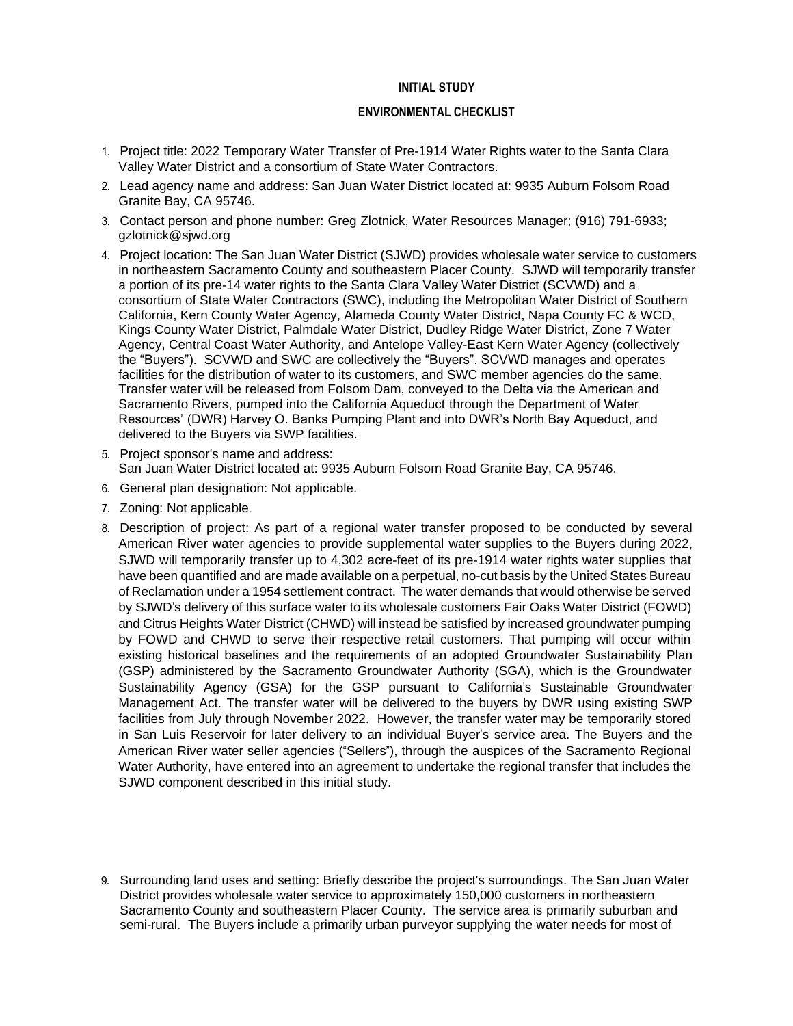# **INITIAL STUDY**

## **ENVIRONMENTAL CHECKLIST**

- 1. Project title: 2022 Temporary Water Transfer of Pre-1914 Water Rights water to the Santa Clara Valley Water District and a consortium of State Water Contractors.
- 2. Lead agency name and address: San Juan Water District located at: 9935 Auburn Folsom Road Granite Bay, CA 95746.
- 3. Contact person and phone number: Greg Zlotnick, Water Resources Manager; (916) 791-6933; gzlotnick@sjwd.org
- 4. Project location: The San Juan Water District (SJWD) provides wholesale water service to customers in northeastern Sacramento County and southeastern Placer County. SJWD will temporarily transfer a portion of its pre-14 water rights to the Santa Clara Valley Water District (SCVWD) and a consortium of State Water Contractors (SWC), including the Metropolitan Water District of Southern California, Kern County Water Agency, Alameda County Water District, Napa County FC & WCD, Kings County Water District, Palmdale Water District, Dudley Ridge Water District, Zone 7 Water Agency, Central Coast Water Authority, and Antelope Valley-East Kern Water Agency (collectively the "Buyers"). SCVWD and SWC are collectively the "Buyers". SCVWD manages and operates facilities for the distribution of water to its customers, and SWC member agencies do the same. Transfer water will be released from Folsom Dam, conveyed to the Delta via the American and Sacramento Rivers, pumped into the California Aqueduct through the Department of Water Resources' (DWR) Harvey O. Banks Pumping Plant and into DWR's North Bay Aqueduct, and delivered to the Buyers via SWP facilities.
- 5. Project sponsor's name and address: San Juan Water District located at: 9935 Auburn Folsom Road Granite Bay, CA 95746.
- 6. General plan designation: Not applicable.
- 7. Zoning: Not applicable.
- 8. Description of project: As part of a regional water transfer proposed to be conducted by several American River water agencies to provide supplemental water supplies to the Buyers during 2022, SJWD will temporarily transfer up to 4,302 acre-feet of its pre-1914 water rights water supplies that have been quantified and are made available on a perpetual, no-cut basis by the United States Bureau of Reclamation under a 1954 settlement contract. The water demands that would otherwise be served by SJWD's delivery of this surface water to its wholesale customers Fair Oaks Water District (FOWD) and Citrus Heights Water District (CHWD) will instead be satisfied by increased groundwater pumping by FOWD and CHWD to serve their respective retail customers. That pumping will occur within existing historical baselines and the requirements of an adopted Groundwater Sustainability Plan (GSP) administered by the Sacramento Groundwater Authority (SGA), which is the Groundwater Sustainability Agency (GSA) for the GSP pursuant to California's Sustainable Groundwater Management Act. The transfer water will be delivered to the buyers by DWR using existing SWP facilities from July through November 2022. However, the transfer water may be temporarily stored in San Luis Reservoir for later delivery to an individual Buyer's service area. The Buyers and the American River water seller agencies ("Sellers"), through the auspices of the Sacramento Regional Water Authority, have entered into an agreement to undertake the regional transfer that includes the SJWD component described in this initial study.
- 9. Surrounding land uses and setting: Briefly describe the project's surroundings. The San Juan Water District provides wholesale water service to approximately 150,000 customers in northeastern Sacramento County and southeastern Placer County. The service area is primarily suburban and semi-rural. The Buyers include a primarily urban purveyor supplying the water needs for most of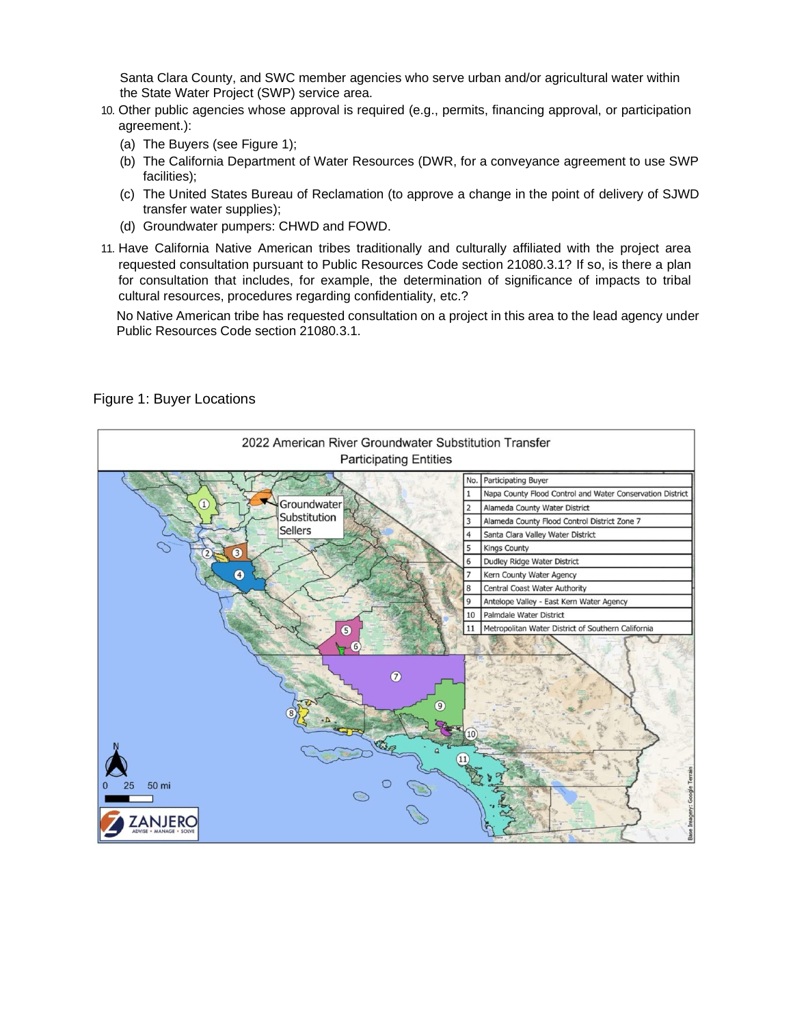Santa Clara County, and SWC member agencies who serve urban and/or agricultural water within the State Water Project (SWP) service area.

- 10. Other public agencies whose approval is required (e.g., permits, financing approval, or participation agreement.):
	- (a) The Buyers (see Figure 1);
	- (b) The California Department of Water Resources (DWR, for a conveyance agreement to use SWP facilities);
	- (c) The United States Bureau of Reclamation (to approve a change in the point of delivery of SJWD transfer water supplies);
	- (d) Groundwater pumpers: CHWD and FOWD.
- 11. Have California Native American tribes traditionally and culturally affiliated with the project area requested consultation pursuant to Public Resources Code section 21080.3.1? If so, is there a plan for consultation that includes, for example, the determination of significance of impacts to tribal cultural resources, procedures regarding confidentiality, etc.?

No Native American tribe has requested consultation on a project in this area to the lead agency under Public Resources Code section 21080.3.1.



Figure 1: Buyer Locations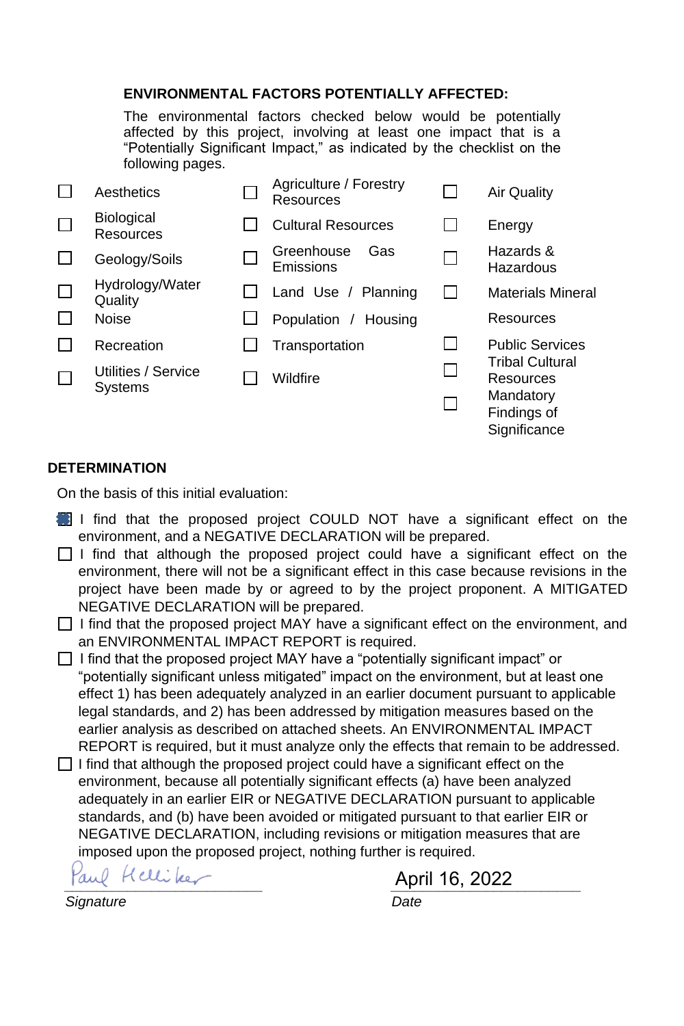# **ENVIRONMENTAL FACTORS POTENTIALLY AFFECTED:**

The environmental factors checked below would be potentially affected by this project, involving at least one impact that is a "Potentially Significant Impact," as indicated by the checklist on the following pages.

|   | Aesthetics                            | Agriculture / Forestry<br>Resources |                        | <b>Air Quality</b>                                                       |
|---|---------------------------------------|-------------------------------------|------------------------|--------------------------------------------------------------------------|
|   | <b>Biological</b><br>Resources        | <b>Cultural Resources</b>           |                        | Energy                                                                   |
|   | Geology/Soils                         | Greenhouse<br>Gas<br>Emissions      |                        | Hazards &<br>Hazardous                                                   |
| Г | Hydrology/Water<br>Quality            | Land Use / Planning                 |                        | <b>Materials Mineral</b>                                                 |
|   | Noise                                 | Population / Housing                |                        | Resources                                                                |
|   | Recreation                            | Transportation                      |                        | <b>Public Services</b>                                                   |
|   | Utilities / Service<br><b>Systems</b> | Wildfire                            | $\Box$<br>$\mathbf{I}$ | Tribal Cultural<br>Resources<br>Mandatory<br>Findings of<br>Significance |

## **DETERMINATION**

On the basis of this initial evaluation:

- I find that the proposed project COULD NOT have a significant effect on the environment, and a NEGATIVE DECLARATION will be prepared.
- $\Box$  I find that although the proposed project could have a significant effect on the environment, there will not be a significant effect in this case because revisions in the project have been made by or agreed to by the project proponent. A MITIGATED NEGATIVE DECLARATION will be prepared.
- $\Box$  I find that the proposed project MAY have a significant effect on the environment, and an ENVIRONMENTAL IMPACT REPORT is required.

 $\Box$  I find that the proposed project MAY have a "potentially significant impact" or "potentially significant unless mitigated" impact on the environment, but at least one effect 1) has been adequately analyzed in an earlier document pursuant to applicable legal standards, and 2) has been addressed by mitigation measures based on the earlier analysis as described on attached sheets. An ENVIRONMENTAL IMPACT REPORT is required, but it must analyze only the effects that remain to be addressed.

 $\Box$  I find that although the proposed project could have a significant effect on the environment, because all potentially significant effects (a) have been analyzed adequately in an earlier EIR or NEGATIVE DECLARATION pursuant to applicable standards, and (b) have been avoided or mitigated pursuant to that earlier EIR or NEGATIVE DECLARATION, including revisions or mitigation measures that are imposed upon the proposed project, nothing further is required.

*\_\_\_\_\_\_\_\_\_\_\_\_\_\_\_\_\_\_\_\_\_\_\_\_\_ \_\_\_\_\_\_\_\_\_\_\_\_\_\_\_\_\_\_\_\_\_\_\_\_* April 16, 2022

*Signature Date*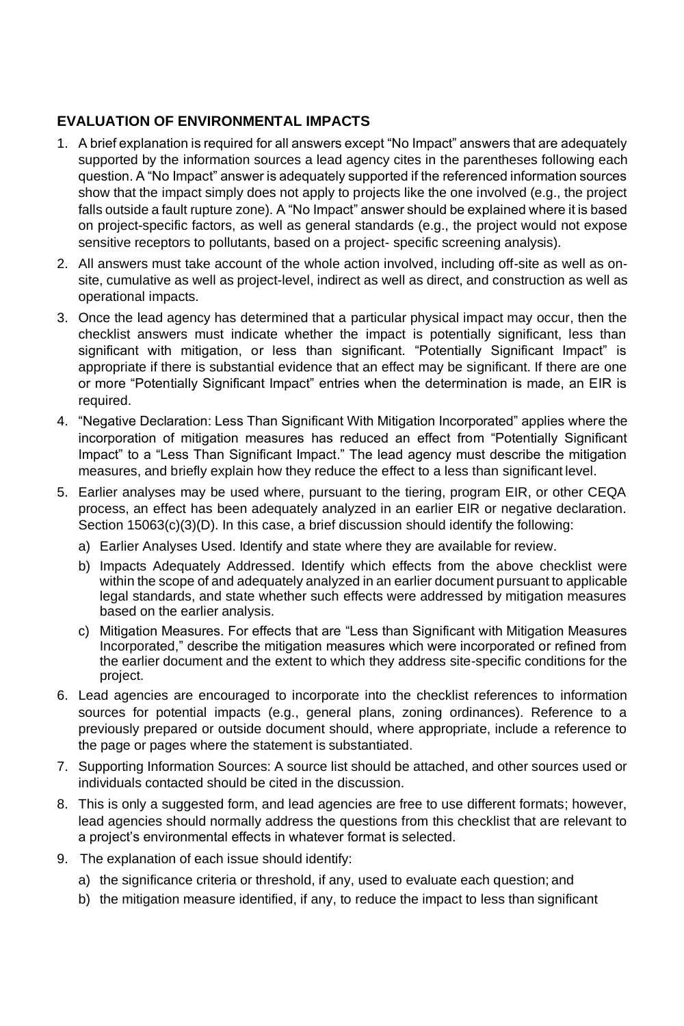# **EVALUATION OF ENVIRONMENTAL IMPACTS**

- 1. A brief explanation is required for all answers except "No Impact" answers that are adequately supported by the information sources a lead agency cites in the parentheses following each question. A "No Impact" answer is adequately supported if the referenced information sources show that the impact simply does not apply to projects like the one involved (e.g., the project falls outside a fault rupture zone). A "No Impact" answer should be explained where it is based on project-specific factors, as well as general standards (e.g., the project would not expose sensitive receptors to pollutants, based on a project- specific screening analysis).
- 2. All answers must take account of the whole action involved, including off-site as well as onsite, cumulative as well as project-level, indirect as well as direct, and construction as well as operational impacts.
- 3. Once the lead agency has determined that a particular physical impact may occur, then the checklist answers must indicate whether the impact is potentially significant, less than significant with mitigation, or less than significant. "Potentially Significant Impact" is appropriate if there is substantial evidence that an effect may be significant. If there are one or more "Potentially Significant Impact" entries when the determination is made, an EIR is required.
- 4. "Negative Declaration: Less Than Significant With Mitigation Incorporated" applies where the incorporation of mitigation measures has reduced an effect from "Potentially Significant Impact" to a "Less Than Significant Impact." The lead agency must describe the mitigation measures, and briefly explain how they reduce the effect to a less than significant level.
- 5. Earlier analyses may be used where, pursuant to the tiering, program EIR, or other CEQA process, an effect has been adequately analyzed in an earlier EIR or negative declaration. Section 15063(c)(3)(D). In this case, a brief discussion should identify the following:
	- a) Earlier Analyses Used. Identify and state where they are available for review.
	- b) Impacts Adequately Addressed. Identify which effects from the above checklist were within the scope of and adequately analyzed in an earlier document pursuant to applicable legal standards, and state whether such effects were addressed by mitigation measures based on the earlier analysis.
	- c) Mitigation Measures. For effects that are "Less than Significant with Mitigation Measures Incorporated," describe the mitigation measures which were incorporated or refined from the earlier document and the extent to which they address site-specific conditions for the project.
- 6. Lead agencies are encouraged to incorporate into the checklist references to information sources for potential impacts (e.g., general plans, zoning ordinances). Reference to a previously prepared or outside document should, where appropriate, include a reference to the page or pages where the statement is substantiated.
- 7. Supporting Information Sources: A source list should be attached, and other sources used or individuals contacted should be cited in the discussion.
- 8. This is only a suggested form, and lead agencies are free to use different formats; however, lead agencies should normally address the questions from this checklist that are relevant to a project's environmental effects in whatever format is selected.
- 9. The explanation of each issue should identify:
	- a) the significance criteria or threshold, if any, used to evaluate each question; and
	- b) the mitigation measure identified, if any, to reduce the impact to less than significant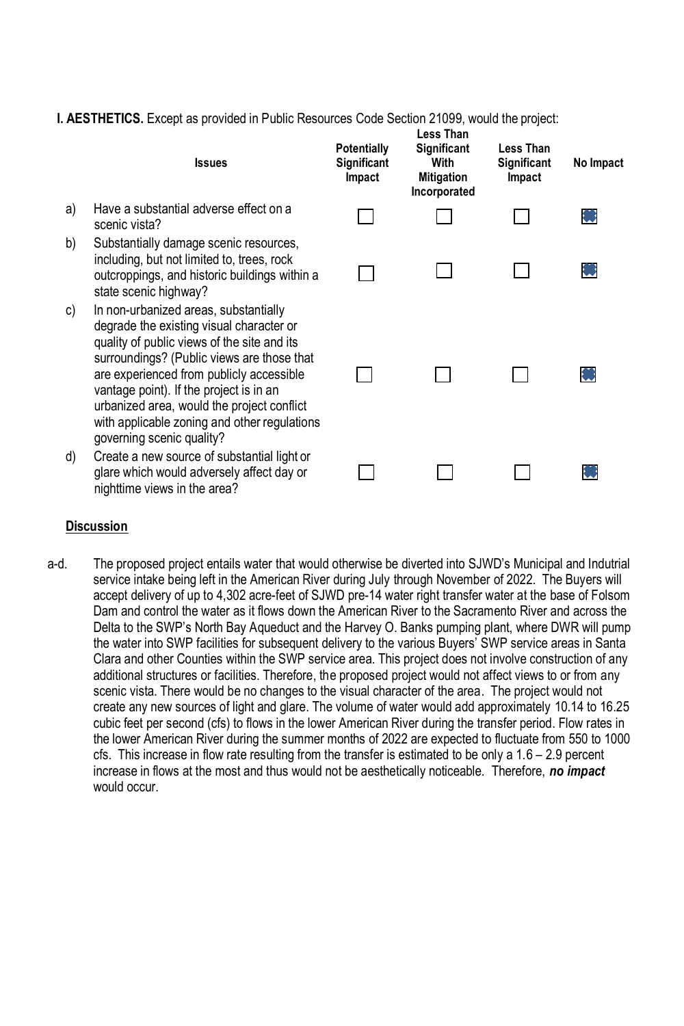**I. AESTHETICS.** Except as provided in Public Resources Code Section 21099, would the project:

|    | <b>Issues</b>                                                                                                                                                                                                                                                                                                                                                                                    | <b>Potentially</b><br>Significant<br>Impact | <b>Less Than</b><br>Significant<br>With<br><b>Mitigation</b><br>Incorporated | Less Than<br>Significant<br>Impact | No Impact |
|----|--------------------------------------------------------------------------------------------------------------------------------------------------------------------------------------------------------------------------------------------------------------------------------------------------------------------------------------------------------------------------------------------------|---------------------------------------------|------------------------------------------------------------------------------|------------------------------------|-----------|
| a) | Have a substantial adverse effect on a<br>scenic vista?                                                                                                                                                                                                                                                                                                                                          |                                             |                                                                              |                                    | æ         |
| b) | Substantially damage scenic resources,<br>including, but not limited to, trees, rock<br>outcroppings, and historic buildings within a<br>state scenic highway?                                                                                                                                                                                                                                   |                                             |                                                                              |                                    | æ         |
| C) | In non-urbanized areas, substantially<br>degrade the existing visual character or<br>quality of public views of the site and its<br>surroundings? (Public views are those that<br>are experienced from publicly accessible<br>vantage point). If the project is in an<br>urbanized area, would the project conflict<br>with applicable zoning and other regulations<br>governing scenic quality? |                                             |                                                                              |                                    |           |
| d) | Create a new source of substantial light or<br>glare which would adversely affect day or<br>nighttime views in the area?                                                                                                                                                                                                                                                                         |                                             |                                                                              |                                    |           |

#### **Discussion**

a-d. The proposed project entails water that would otherwise be diverted into SJWD's Municipal and Indutrial service intake being left in the American River during July through November of 2022. The Buyers will accept delivery of up to 4,302 acre-feet of SJWD pre-14 water right transfer water at the base of Folsom Dam and control the water as it flows down the American River to the Sacramento River and across the Delta to the SWP's North Bay Aqueduct and the Harvey O. Banks pumping plant, where DWR will pump the water into SWP facilities for subsequent delivery to the various Buyers' SWP service areas in Santa Clara and other Counties within the SWP service area. This project does not involve construction of any additional structures or facilities. Therefore, the proposed project would not affect views to or from any scenic vista. There would be no changes to the visual character of the area. The project would not create any new sources of light and glare. The volume of water would add approximately 10.14 to 16.25 cubic feet per second (cfs) to flows in the lower American River during the transfer period. Flow rates in the lower American River during the summer months of 2022 are expected to fluctuate from 550 to 1000 cfs. This increase in flow rate resulting from the transfer is estimated to be only a 1.6 – 2.9 percent increase in flows at the most and thus would not be aesthetically noticeable. Therefore, *no impact*  would occur.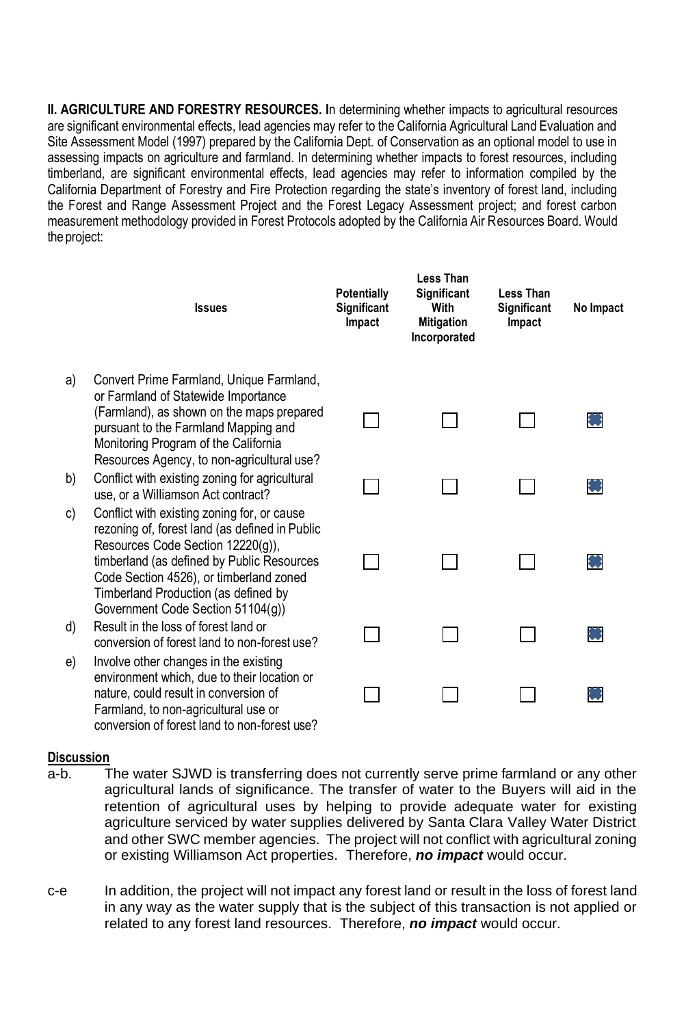**II. AGRICULTURE AND FORESTRY RESOURCES. I**n determining whether impacts to agricultural resources are significant environmental effects, lead agencies may refer to the California Agricultural Land Evaluation and Site Assessment Model (1997) prepared by the California Dept. of Conservation as an optional model to use in assessing impacts on agriculture and farmland. In determining whether impacts to forest resources, including timberland, are significant environmental effects, lead agencies may refer to information compiled by the California Department of Forestry and Fire Protection regarding the state's inventory of forest land, including the Forest and Range Assessment Project and the Forest Legacy Assessment project; and forest carbon measurement methodology provided in Forest Protocols adopted by the California Air Resources Board. Would the project:

|    | <b>Issues</b>                                                                                                                                                                                                                                                                                            | <b>Potentially</b><br>Significant<br>Impact | <b>Less Than</b><br><b>Significant</b><br>With<br><b>Mitigation</b><br>Incorporated | Less Than<br><b>Significant</b><br>Impact | No Impact |
|----|----------------------------------------------------------------------------------------------------------------------------------------------------------------------------------------------------------------------------------------------------------------------------------------------------------|---------------------------------------------|-------------------------------------------------------------------------------------|-------------------------------------------|-----------|
| a) | Convert Prime Farmland, Unique Farmland,<br>or Farmland of Statewide Importance<br>(Farmland), as shown on the maps prepared<br>pursuant to the Farmland Mapping and<br>Monitoring Program of the California<br>Resources Agency, to non-agricultural use?                                               |                                             |                                                                                     |                                           |           |
| b) | Conflict with existing zoning for agricultural<br>use, or a Williamson Act contract?                                                                                                                                                                                                                     |                                             |                                                                                     |                                           |           |
| C) | Conflict with existing zoning for, or cause<br>rezoning of, forest land (as defined in Public<br>Resources Code Section 12220(g)),<br>timberland (as defined by Public Resources<br>Code Section 4526), or timberland zoned<br>Timberland Production (as defined by<br>Government Code Section 51104(g)) |                                             |                                                                                     |                                           |           |
| d) | Result in the loss of forest land or<br>conversion of forest land to non-forest use?                                                                                                                                                                                                                     |                                             |                                                                                     |                                           |           |
| e) | Involve other changes in the existing<br>environment which, due to their location or<br>nature, could result in conversion of<br>Farmland, to non-agricultural use or<br>conversion of forest land to non-forest use?                                                                                    |                                             |                                                                                     |                                           |           |
|    |                                                                                                                                                                                                                                                                                                          |                                             |                                                                                     |                                           |           |

#### **Discussion**

- a-b. The water SJWD is transferring does not currently serve prime farmland or any other agricultural lands of significance. The transfer of water to the Buyers will aid in the retention of agricultural uses by helping to provide adequate water for existing agriculture serviced by water supplies delivered by Santa Clara Valley Water District and other SWC member agencies. The project will not conflict with agricultural zoning or existing Williamson Act properties. Therefore, *no impact* would occur.
- c-e In addition, the project will not impact any forest land or result in the loss of forest land in any way as the water supply that is the subject of this transaction is not applied or related to any forest land resources. Therefore, *no impact* would occur.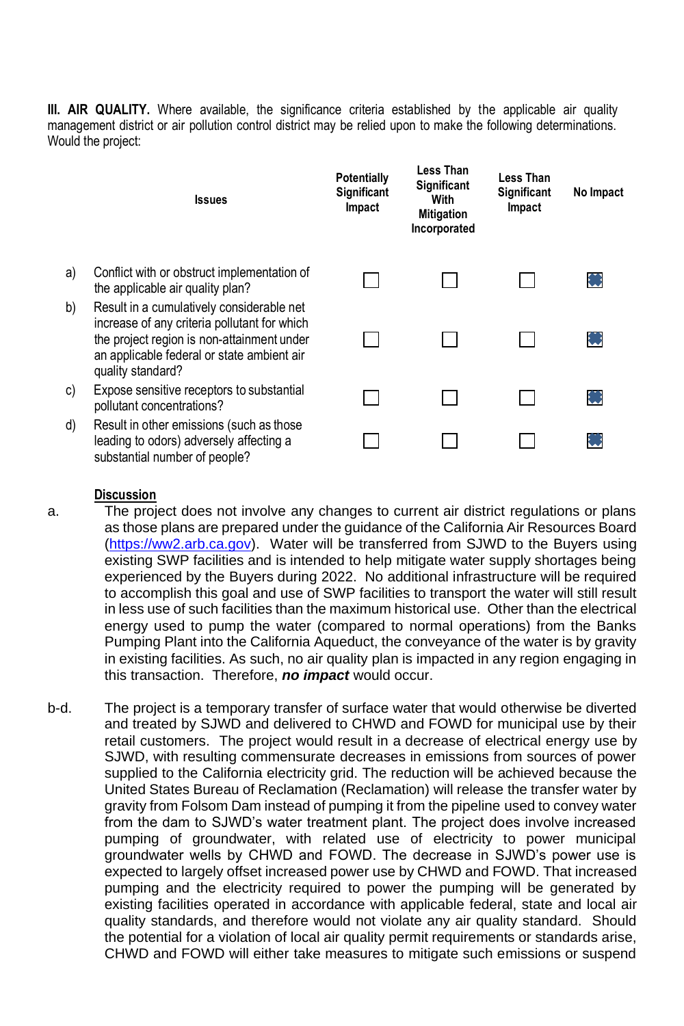**III. AIR QUALITY.** Where available, the significance criteria established by the applicable air quality management district or air pollution control district may be relied upon to make the following determinations. Would the project:

|    | <b>Issues</b>                                                                                                                                                                                              | <b>Potentially</b><br>Significant<br>Impact | <b>Less Than</b><br><b>Significant</b><br>With<br><b>Mitigation</b><br>Incorporated | Less Than<br>Significant<br>Impact | No Impact |
|----|------------------------------------------------------------------------------------------------------------------------------------------------------------------------------------------------------------|---------------------------------------------|-------------------------------------------------------------------------------------|------------------------------------|-----------|
| a) | Conflict with or obstruct implementation of<br>the applicable air quality plan?                                                                                                                            |                                             |                                                                                     |                                    |           |
| b) | Result in a cumulatively considerable net<br>increase of any criteria pollutant for which<br>the project region is non-attainment under<br>an applicable federal or state ambient air<br>quality standard? |                                             |                                                                                     |                                    |           |
| C) | Expose sensitive receptors to substantial<br>pollutant concentrations?                                                                                                                                     |                                             |                                                                                     |                                    |           |
| d) | Result in other emissions (such as those<br>leading to odors) adversely affecting a<br>substantial number of people?                                                                                       |                                             |                                                                                     |                                    |           |

#### **Discussion**

- a. The project does not involve any changes to current air district regulations or plans as those plans are prepared under the guidance of the California Air Resources Board [\(https://ww2.arb.ca.gov\)](https://ww2.arb.ca.gov/). Water will be transferred from SJWD to the Buyers using existing SWP facilities and is intended to help mitigate water supply shortages being experienced by the Buyers during 2022. No additional infrastructure will be required to accomplish this goal and use of SWP facilities to transport the water will still result in less use of such facilities than the maximum historical use. Other than the electrical energy used to pump the water (compared to normal operations) from the Banks Pumping Plant into the California Aqueduct, the conveyance of the water is by gravity in existing facilities. As such, no air quality plan is impacted in any region engaging in this transaction. Therefore, *no impact* would occur.
- b-d. The project is a temporary transfer of surface water that would otherwise be diverted and treated by SJWD and delivered to CHWD and FOWD for municipal use by their retail customers. The project would result in a decrease of electrical energy use by SJWD, with resulting commensurate decreases in emissions from sources of power supplied to the California electricity grid. The reduction will be achieved because the United States Bureau of Reclamation (Reclamation) will release the transfer water by gravity from Folsom Dam instead of pumping it from the pipeline used to convey water from the dam to SJWD's water treatment plant. The project does involve increased pumping of groundwater, with related use of electricity to power municipal groundwater wells by CHWD and FOWD. The decrease in SJWD's power use is expected to largely offset increased power use by CHWD and FOWD. That increased pumping and the electricity required to power the pumping will be generated by existing facilities operated in accordance with applicable federal, state and local air quality standards, and therefore would not violate any air quality standard. Should the potential for a violation of local air quality permit requirements or standards arise, CHWD and FOWD will either take measures to mitigate such emissions or suspend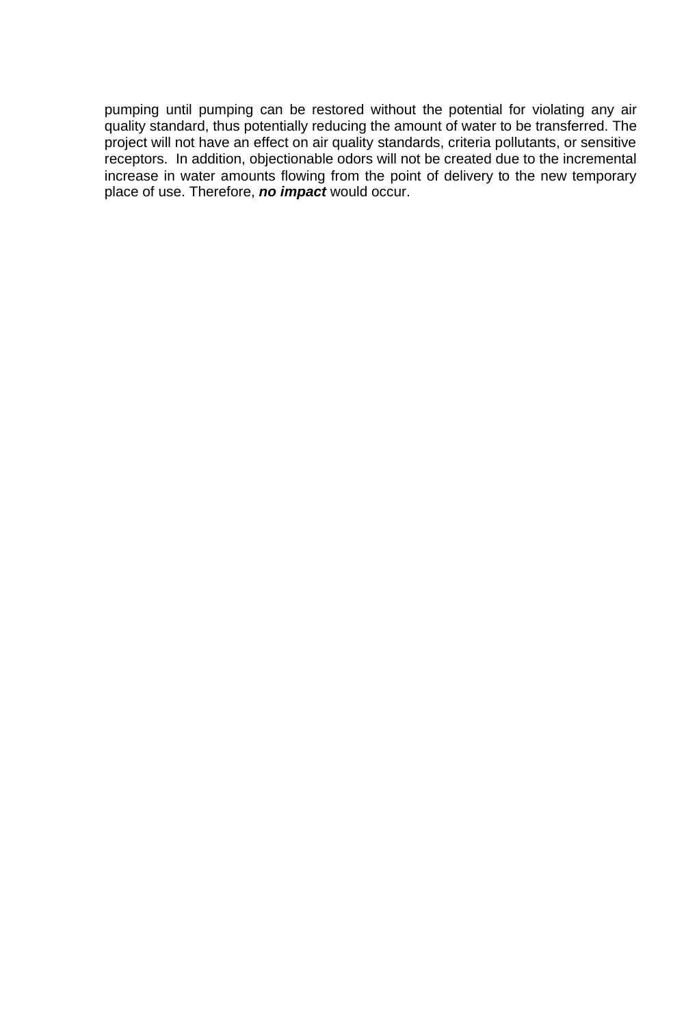pumping until pumping can be restored without the potential for violating any air quality standard, thus potentially reducing the amount of water to be transferred. The project will not have an effect on air quality standards, criteria pollutants, or sensitive receptors. In addition, objectionable odors will not be created due to the incremental increase in water amounts flowing from the point of delivery to the new temporary place of use. Therefore, *no impact* would occur.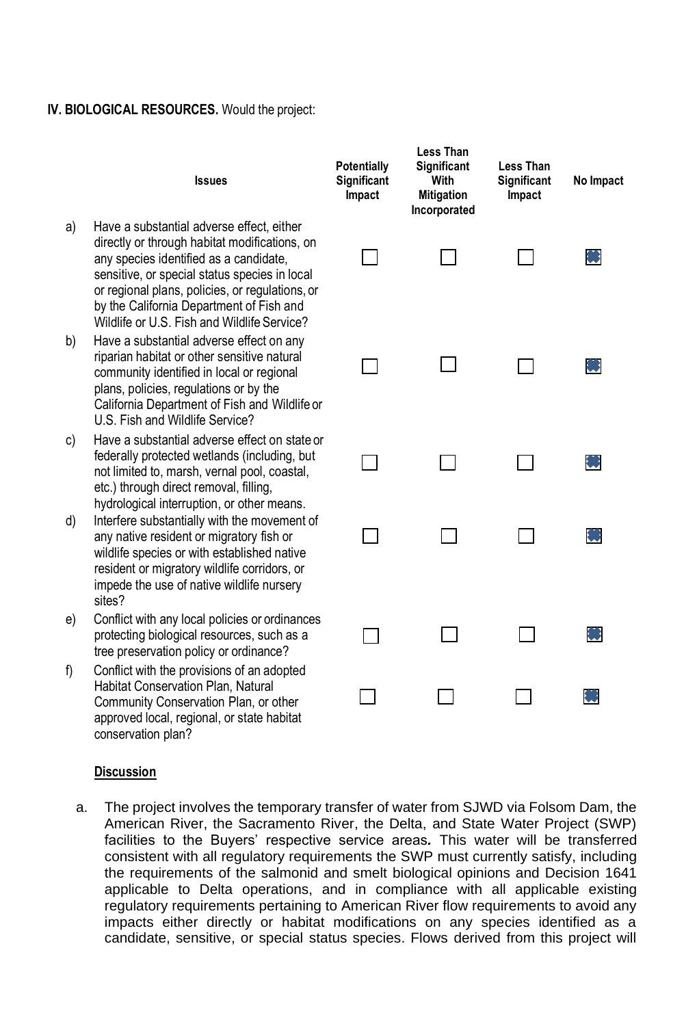## **IV. BIOLOGICAL RESOURCES.** Would the project:

|    | <b>Issues</b>                                                                                                                                                                                                                                                                                                                       | Potentially<br>Significant<br>Impact | Less Than<br>Significant<br>With<br><b>Mitigation</b><br>Incorporated | Less Than<br>Significant<br>Impact | No Impact |
|----|-------------------------------------------------------------------------------------------------------------------------------------------------------------------------------------------------------------------------------------------------------------------------------------------------------------------------------------|--------------------------------------|-----------------------------------------------------------------------|------------------------------------|-----------|
| a) | Have a substantial adverse effect, either<br>directly or through habitat modifications, on<br>any species identified as a candidate,<br>sensitive, or special status species in local<br>or regional plans, policies, or regulations, or<br>by the California Department of Fish and<br>Wildlife or U.S. Fish and Wildlife Service? |                                      |                                                                       |                                    |           |
| b) | Have a substantial adverse effect on any<br>riparian habitat or other sensitive natural<br>community identified in local or regional<br>plans, policies, regulations or by the<br>California Department of Fish and Wildlife or<br>U.S. Fish and Wildlife Service?                                                                  |                                      |                                                                       |                                    |           |
| c) | Have a substantial adverse effect on state or<br>federally protected wetlands (including, but<br>not limited to, marsh, vernal pool, coastal,<br>etc.) through direct removal, filling,<br>hydrological interruption, or other means.                                                                                               |                                      |                                                                       |                                    | H         |
| d) | Interfere substantially with the movement of<br>any native resident or migratory fish or<br>wildlife species or with established native<br>resident or migratory wildlife corridors, or<br>impede the use of native wildlife nursery<br>sites?                                                                                      |                                      |                                                                       |                                    | Œ         |
| e) | Conflict with any local policies or ordinances<br>protecting biological resources, such as a<br>tree preservation policy or ordinance?                                                                                                                                                                                              |                                      |                                                                       |                                    |           |
| f) | Conflict with the provisions of an adopted<br>Habitat Conservation Plan, Natural<br>Community Conservation Plan, or other<br>approved local, regional, or state habitat<br>conservation plan?                                                                                                                                       |                                      |                                                                       |                                    | Œ         |

#### **Discussion**

a. The project involves the temporary transfer of water from SJWD via Folsom Dam, the American River, the Sacramento River, the Delta, and State Water Project (SWP) facilities to the Buyers' respective service areas*.* This water will be transferred consistent with all regulatory requirements the SWP must currently satisfy, including the requirements of the salmonid and smelt biological opinions and Decision 1641 applicable to Delta operations, and in compliance with all applicable existing regulatory requirements pertaining to American River flow requirements to avoid any impacts either directly or habitat modifications on any species identified as a candidate, sensitive, or special status species. Flows derived from this project will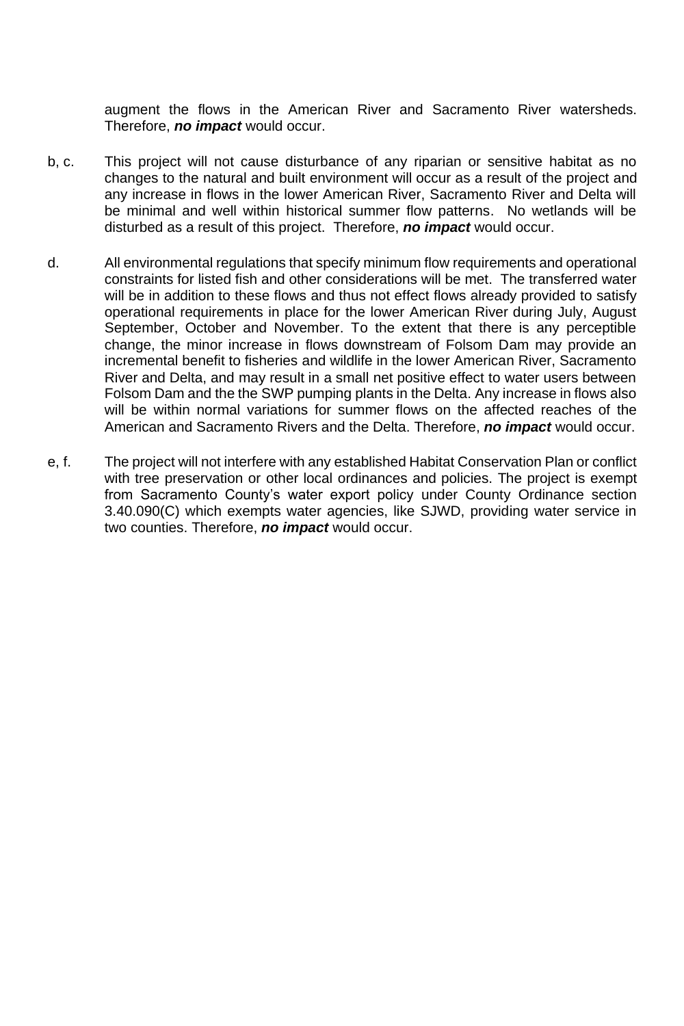augment the flows in the American River and Sacramento River watersheds. Therefore, *no impact* would occur.

- b, c. This project will not cause disturbance of any riparian or sensitive habitat as no changes to the natural and built environment will occur as a result of the project and any increase in flows in the lower American River, Sacramento River and Delta will be minimal and well within historical summer flow patterns. No wetlands will be disturbed as a result of this project. Therefore, *no impact* would occur.
- d. All environmental regulations that specify minimum flow requirements and operational constraints for listed fish and other considerations will be met. The transferred water will be in addition to these flows and thus not effect flows already provided to satisfy operational requirements in place for the lower American River during July, August September, October and November. To the extent that there is any perceptible change, the minor increase in flows downstream of Folsom Dam may provide an incremental benefit to fisheries and wildlife in the lower American River, Sacramento River and Delta, and may result in a small net positive effect to water users between Folsom Dam and the the SWP pumping plants in the Delta. Any increase in flows also will be within normal variations for summer flows on the affected reaches of the American and Sacramento Rivers and the Delta. Therefore, *no impact* would occur.
- e, f. The project will not interfere with any established Habitat Conservation Plan or conflict with tree preservation or other local ordinances and policies. The project is exempt from Sacramento County's water export policy under County Ordinance section 3.40.090(C) which exempts water agencies, like SJWD, providing water service in two counties. Therefore, *no impact* would occur.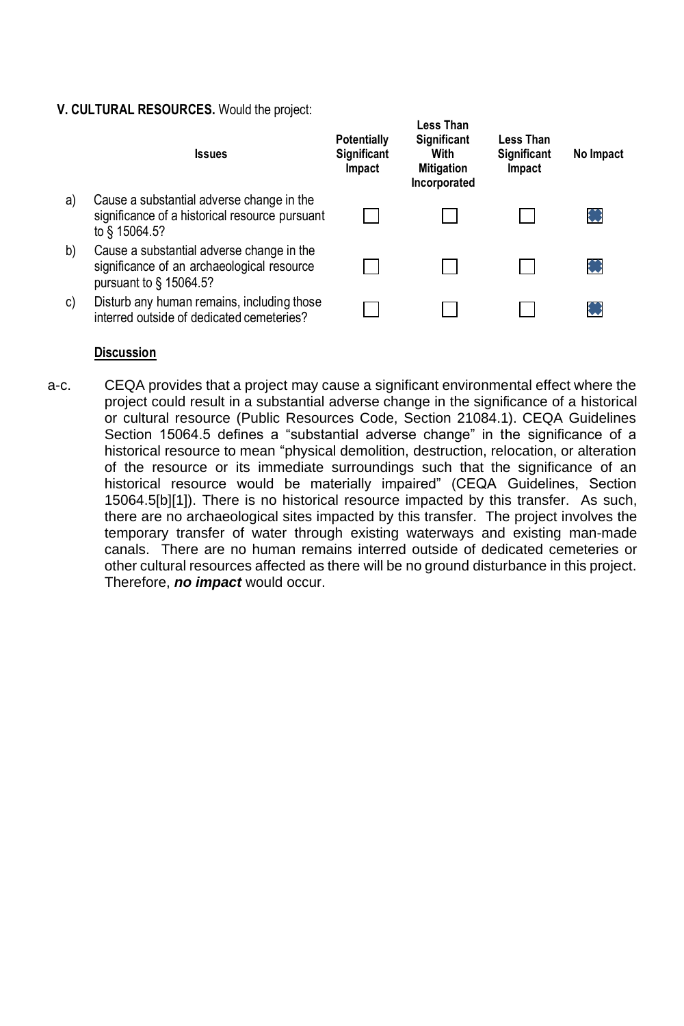#### **V. CULTURAL RESOURCES.** Would the project:

|    | <b>Issues</b>                                                                                                     | <b>Potentially</b><br><b>Significant</b><br>Impact | Less Than<br>Significant<br>With<br><b>Mitigation</b><br>Incorporated | Less Than<br><b>Significant</b><br>Impact | No Impact |
|----|-------------------------------------------------------------------------------------------------------------------|----------------------------------------------------|-----------------------------------------------------------------------|-------------------------------------------|-----------|
| a) | Cause a substantial adverse change in the<br>significance of a historical resource pursuant<br>to § 15064.5?      |                                                    |                                                                       |                                           |           |
| b) | Cause a substantial adverse change in the<br>significance of an archaeological resource<br>pursuant to § 15064.5? |                                                    |                                                                       |                                           |           |
| C) | Disturb any human remains, including those<br>interred outside of dedicated cemeteries?                           |                                                    |                                                                       |                                           |           |

#### **Discussion**

a-c. CEQA provides that a project may cause a significant environmental effect where the project could result in a substantial adverse change in the significance of a historical or cultural resource (Public Resources Code, Section 21084.1). CEQA Guidelines Section 15064.5 defines a "substantial adverse change" in the significance of a historical resource to mean "physical demolition, destruction, relocation, or alteration of the resource or its immediate surroundings such that the significance of an historical resource would be materially impaired" (CEQA Guidelines, Section 15064.5[b][1]). There is no historical resource impacted by this transfer. As such, there are no archaeological sites impacted by this transfer. The project involves the temporary transfer of water through existing waterways and existing man-made canals. There are no human remains interred outside of dedicated cemeteries or other cultural resources affected as there will be no ground disturbance in this project. Therefore, *no impact* would occur.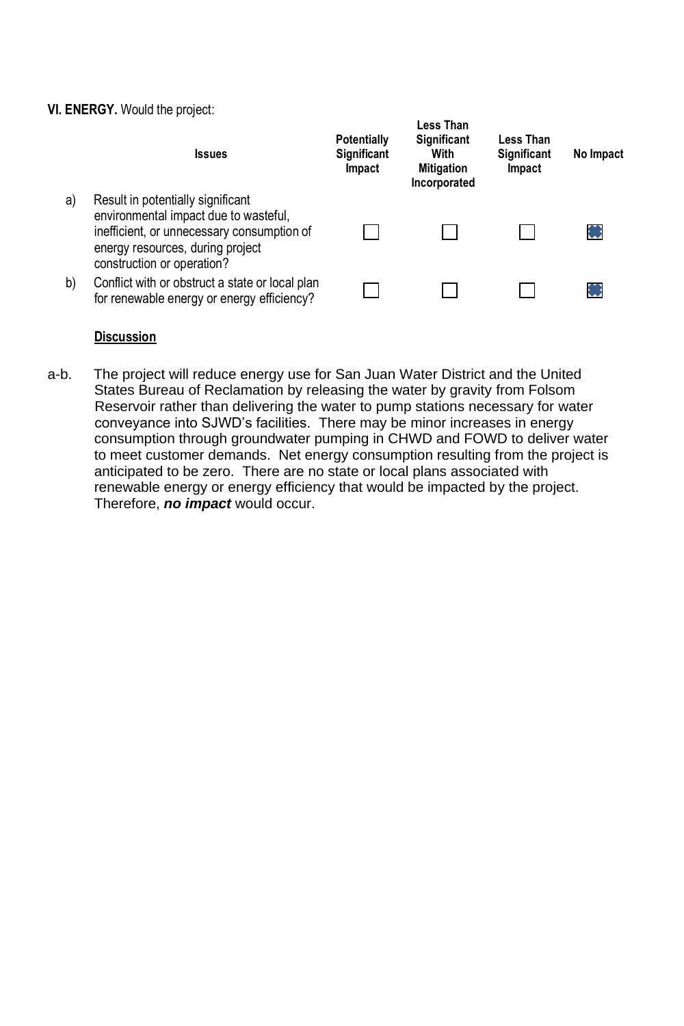#### **VI. ENERGY.** Would the project:

|    | <b>Issues</b>                                                                                                                                                                              | <b>Potentially</b><br><b>Significant</b><br>Impact | Less Than<br><b>Significant</b><br>With<br><b>Mitigation</b><br>Incorporated | Less Than<br><b>Significant</b><br>Impact | No Impact |
|----|--------------------------------------------------------------------------------------------------------------------------------------------------------------------------------------------|----------------------------------------------------|------------------------------------------------------------------------------|-------------------------------------------|-----------|
| a) | Result in potentially significant<br>environmental impact due to wasteful,<br>inefficient, or unnecessary consumption of<br>energy resources, during project<br>construction or operation? |                                                    |                                                                              |                                           |           |
| b) | Conflict with or obstruct a state or local plan<br>for renewable energy or energy efficiency?                                                                                              |                                                    |                                                                              |                                           |           |

## **Discussion**

a-b. The project will reduce energy use for San Juan Water District and the United States Bureau of Reclamation by releasing the water by gravity from Folsom Reservoir rather than delivering the water to pump stations necessary for water conveyance into SJWD's facilities. There may be minor increases in energy consumption through groundwater pumping in CHWD and FOWD to deliver water to meet customer demands. Net energy consumption resulting from the project is anticipated to be zero. There are no state or local plans associated with renewable energy or energy efficiency that would be impacted by the project. Therefore, *no impact* would occur.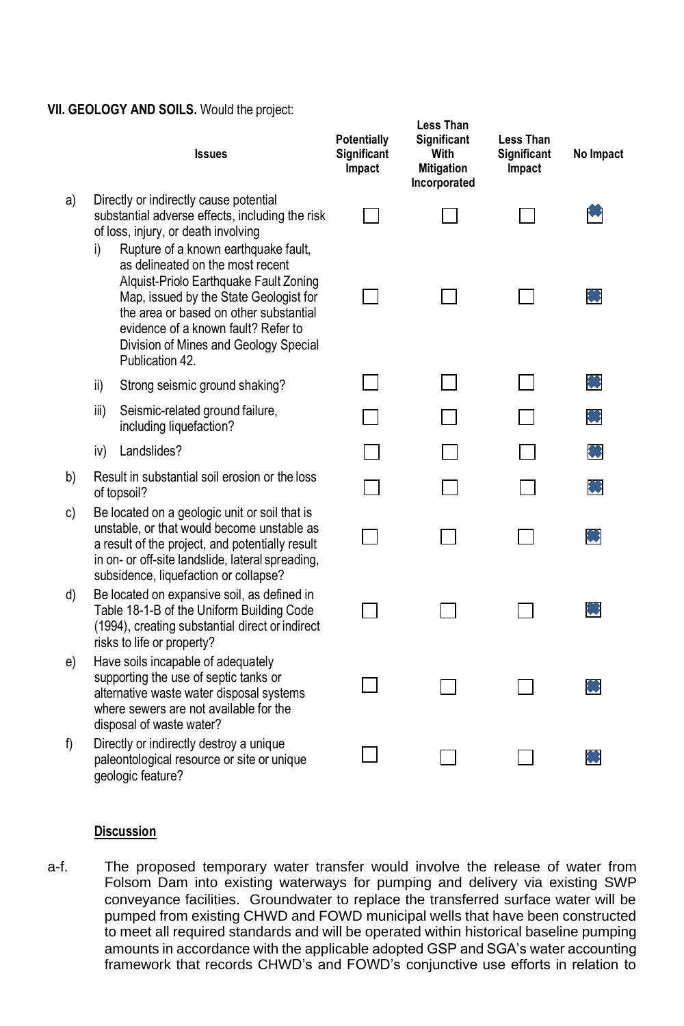## **VII. GEOLOGY AND SOILS.** Would the project:

|    |      | <b>Issues</b>                                                                                                                                                                                                                                                                                             | <b>Potentially</b><br>Significant<br>Impact | Less Than<br>Significant<br>With<br><b>Mitigation</b><br>Incorporated | Less Than<br><b>Significant</b><br>Impact | No Impact |
|----|------|-----------------------------------------------------------------------------------------------------------------------------------------------------------------------------------------------------------------------------------------------------------------------------------------------------------|---------------------------------------------|-----------------------------------------------------------------------|-------------------------------------------|-----------|
| a) |      | Directly or indirectly cause potential<br>substantial adverse effects, including the risk<br>of loss, injury, or death involving                                                                                                                                                                          |                                             |                                                                       |                                           |           |
|    | i)   | Rupture of a known earthquake fault,<br>as delineated on the most recent<br>Alquist-Priolo Earthquake Fault Zoning<br>Map, issued by the State Geologist for<br>the area or based on other substantial<br>evidence of a known fault? Refer to<br>Division of Mines and Geology Special<br>Publication 42. |                                             |                                                                       |                                           |           |
|    | ii)  | Strong seismic ground shaking?                                                                                                                                                                                                                                                                            |                                             |                                                                       |                                           |           |
|    | iii) | Seismic-related ground failure,<br>including liquefaction?                                                                                                                                                                                                                                                |                                             |                                                                       |                                           |           |
|    | iv)  | Landslides?                                                                                                                                                                                                                                                                                               |                                             |                                                                       |                                           |           |
| b) |      | Result in substantial soil erosion or the loss<br>of topsoil?                                                                                                                                                                                                                                             |                                             |                                                                       |                                           |           |
| c) |      | Be located on a geologic unit or soil that is<br>unstable, or that would become unstable as<br>a result of the project, and potentially result<br>in on- or off-site landslide, lateral spreading,<br>subsidence, liquefaction or collapse?                                                               |                                             |                                                                       |                                           |           |
| d) |      | Be located on expansive soil, as defined in<br>Table 18-1-B of the Uniform Building Code<br>(1994), creating substantial direct or indirect<br>risks to life or property?                                                                                                                                 |                                             |                                                                       |                                           | w         |
| e) |      | Have soils incapable of adequately<br>supporting the use of septic tanks or<br>alternative waste water disposal systems<br>where sewers are not available for the<br>disposal of waste water?                                                                                                             |                                             |                                                                       |                                           |           |
| f) |      | Directly or indirectly destroy a unique<br>paleontological resource or site or unique<br>geologic feature?                                                                                                                                                                                                |                                             |                                                                       |                                           |           |

## **Discussion**

a-f. The proposed temporary water transfer would involve the release of water from Folsom Dam into existing waterways for pumping and delivery via existing SWP conveyance facilities. Groundwater to replace the transferred surface water will be pumped from existing CHWD and FOWD municipal wells that have been constructed to meet all required standards and will be operated within historical baseline pumping amounts in accordance with the applicable adopted GSP and SGA's water accounting framework that records CHWD's and FOWD's conjunctive use efforts in relation to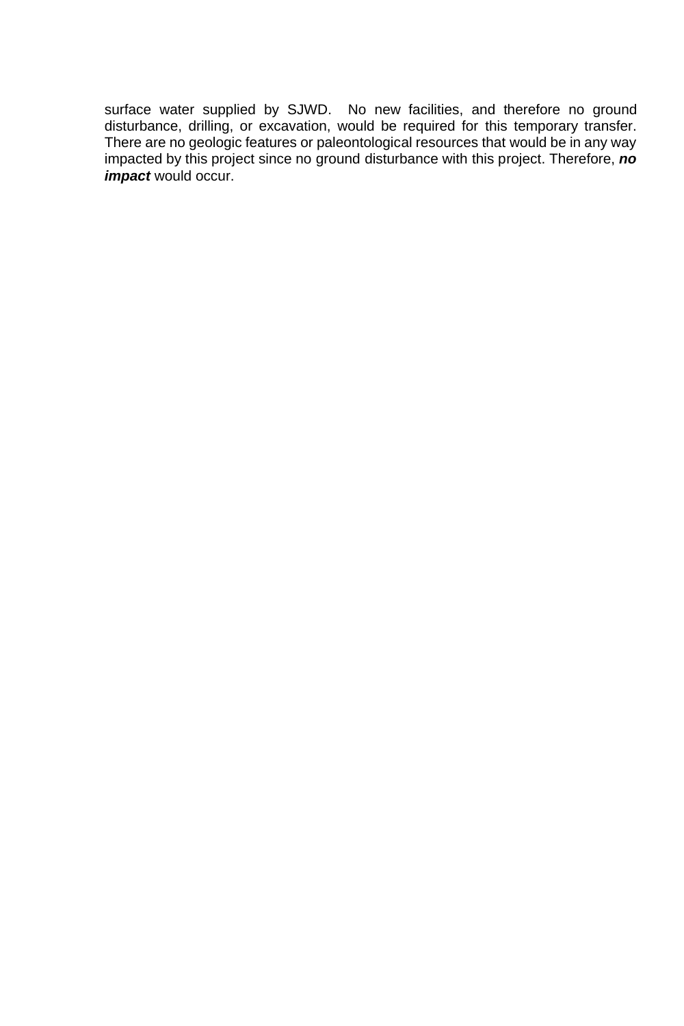surface water supplied by SJWD. No new facilities, and therefore no ground disturbance, drilling, or excavation, would be required for this temporary transfer. There are no geologic features or paleontological resources that would be in any way impacted by this project since no ground disturbance with this project. Therefore, *no impact* would occur.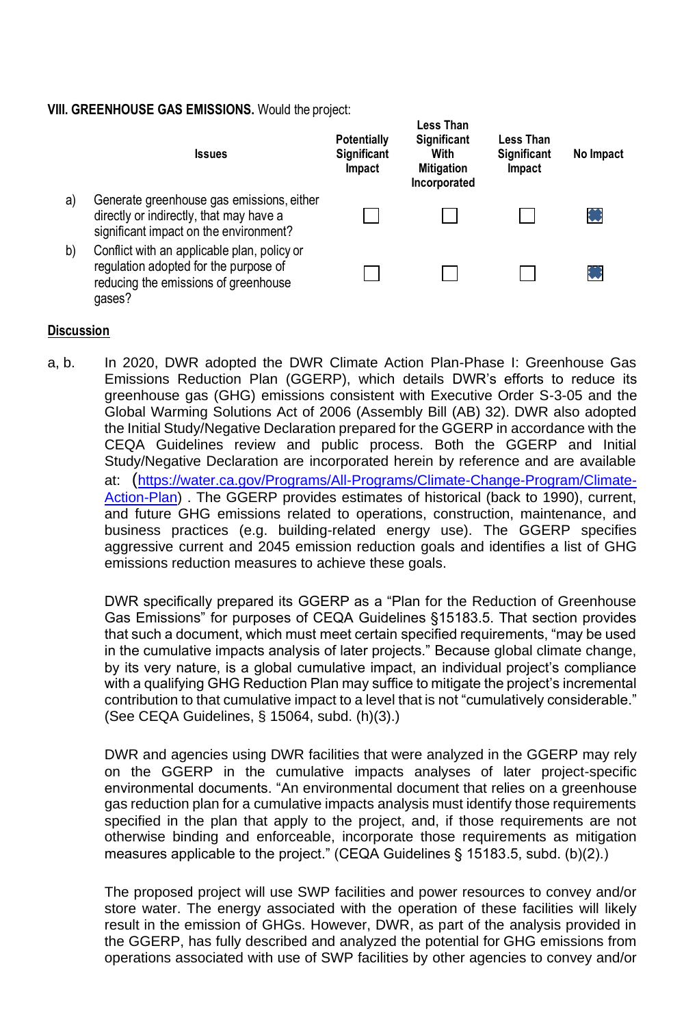#### **VIII. GREENHOUSE GAS EMISSIONS.** Would the project:

|    | <b>Issues</b>                                                                                                                          | <b>Potentially</b><br><b>Significant</b><br>Impact | Less Than<br><b>Significant</b><br>With<br><b>Mitigation</b><br>Incorporated | Less Than<br><b>Significant</b><br>Impact | No Impact |
|----|----------------------------------------------------------------------------------------------------------------------------------------|----------------------------------------------------|------------------------------------------------------------------------------|-------------------------------------------|-----------|
| a) | Generate greenhouse gas emissions, either<br>directly or indirectly, that may have a<br>significant impact on the environment?         |                                                    |                                                                              |                                           |           |
| b) | Conflict with an applicable plan, policy or<br>regulation adopted for the purpose of<br>reducing the emissions of greenhouse<br>qases? |                                                    |                                                                              |                                           |           |

#### **Discussion**

a, b. In 2020, DWR adopted the DWR Climate Action Plan-Phase I: Greenhouse Gas Emissions Reduction Plan (GGERP), which details DWR's efforts to reduce its greenhouse gas (GHG) emissions consistent with Executive Order S-3-05 and the Global Warming Solutions Act of 2006 (Assembly Bill (AB) 32). DWR also adopted the Initial Study/Negative Declaration prepared for the GGERP in accordance with the CEQA Guidelines review and public process. Both the GGERP and Initial Study/Negative Declaration are incorporated herein by reference and are available at: ([https://water.ca.gov/Programs/All-Programs/Climate-Change-Program/Climate-](https://water.ca.gov/Programs/All-Programs/Climate-Change-Program/Climate-Action-Plan)[Action-Plan\)](https://water.ca.gov/Programs/All-Programs/Climate-Change-Program/Climate-Action-Plan) . The GGERP provides estimates of historical (back to 1990), current, and future GHG emissions related to operations, construction, maintenance, and business practices (e.g. building-related energy use). The GGERP specifies aggressive current and 2045 emission reduction goals and identifies a list of GHG emissions reduction measures to achieve these goals.

DWR specifically prepared its GGERP as a "Plan for the Reduction of Greenhouse Gas Emissions" for purposes of CEQA Guidelines §15183.5. That section provides that such a document, which must meet certain specified requirements, "may be used in the cumulative impacts analysis of later projects." Because global climate change, by its very nature, is a global cumulative impact, an individual project's compliance with a qualifying GHG Reduction Plan may suffice to mitigate the project's incremental contribution to that cumulative impact to a level that is not "cumulatively considerable." (See CEQA Guidelines, § 15064, subd. (h)(3).)

DWR and agencies using DWR facilities that were analyzed in the GGERP may rely on the GGERP in the cumulative impacts analyses of later project-specific environmental documents. "An environmental document that relies on a greenhouse gas reduction plan for a cumulative impacts analysis must identify those requirements specified in the plan that apply to the project, and, if those requirements are not otherwise binding and enforceable, incorporate those requirements as mitigation measures applicable to the project." (CEQA Guidelines § 15183.5, subd. (b)(2).)

The proposed project will use SWP facilities and power resources to convey and/or store water. The energy associated with the operation of these facilities will likely result in the emission of GHGs. However, DWR, as part of the analysis provided in the GGERP, has fully described and analyzed the potential for GHG emissions from operations associated with use of SWP facilities by other agencies to convey and/or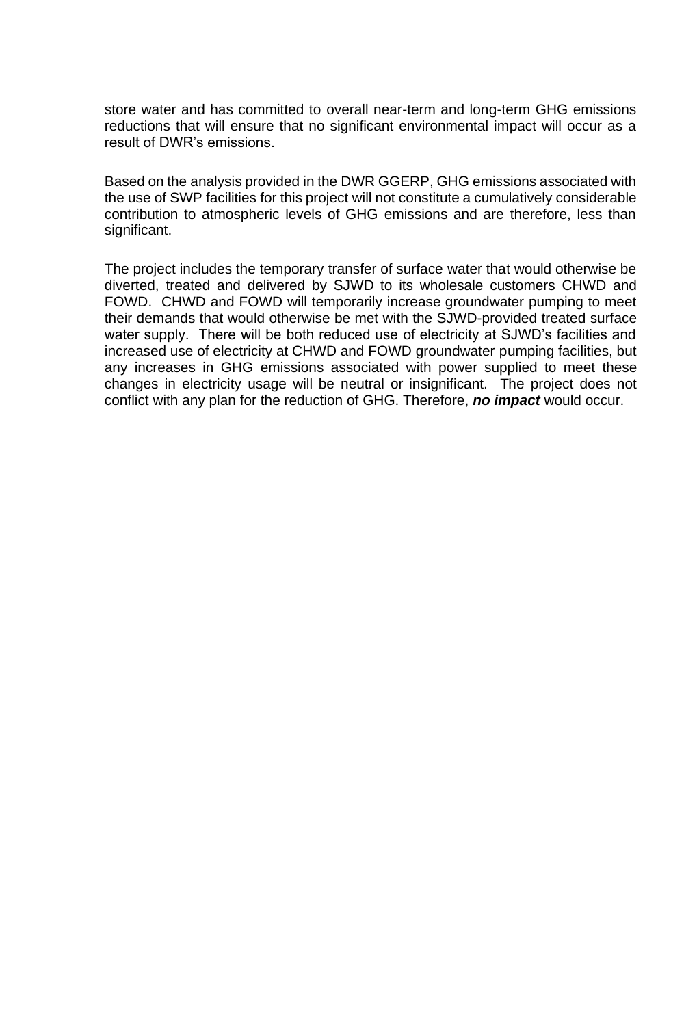store water and has committed to overall near-term and long-term GHG emissions reductions that will ensure that no significant environmental impact will occur as a result of DWR's emissions.

Based on the analysis provided in the DWR GGERP, GHG emissions associated with the use of SWP facilities for this project will not constitute a cumulatively considerable contribution to atmospheric levels of GHG emissions and are therefore, less than significant.

The project includes the temporary transfer of surface water that would otherwise be diverted, treated and delivered by SJWD to its wholesale customers CHWD and FOWD. CHWD and FOWD will temporarily increase groundwater pumping to meet their demands that would otherwise be met with the SJWD-provided treated surface water supply. There will be both reduced use of electricity at SJWD's facilities and increased use of electricity at CHWD and FOWD groundwater pumping facilities, but any increases in GHG emissions associated with power supplied to meet these changes in electricity usage will be neutral or insignificant. The project does not conflict with any plan for the reduction of GHG. Therefore, *no impact* would occur.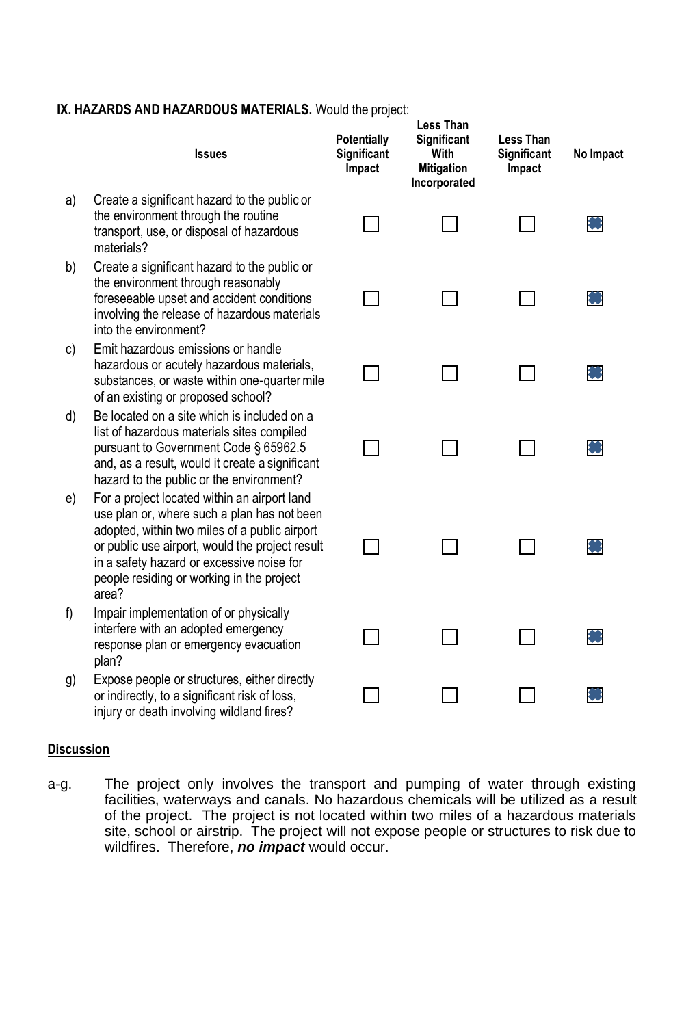# **IX. HAZARDS AND HAZARDOUS MATERIALS.** Would the project:

|    | <b>Issues</b>                                                                                                                                                                                                                                                                                      | <b>Potentially</b><br>Significant<br>Impact | <b>Less Than</b><br><b>Significant</b><br>With<br><b>Mitigation</b><br>Incorporated | <b>Less Than</b><br>Significant<br>Impact | No Impact |
|----|----------------------------------------------------------------------------------------------------------------------------------------------------------------------------------------------------------------------------------------------------------------------------------------------------|---------------------------------------------|-------------------------------------------------------------------------------------|-------------------------------------------|-----------|
| a) | Create a significant hazard to the public or<br>the environment through the routine<br>transport, use, or disposal of hazardous<br>materials?                                                                                                                                                      |                                             |                                                                                     |                                           | O         |
| b) | Create a significant hazard to the public or<br>the environment through reasonably<br>foreseeable upset and accident conditions<br>involving the release of hazardous materials<br>into the environment?                                                                                           |                                             |                                                                                     |                                           | B         |
| C) | Emit hazardous emissions or handle<br>hazardous or acutely hazardous materials,<br>substances, or waste within one-quarter mile<br>of an existing or proposed school?                                                                                                                              |                                             |                                                                                     |                                           | Œ         |
| d) | Be located on a site which is included on a<br>list of hazardous materials sites compiled<br>pursuant to Government Code § 65962.5<br>and, as a result, would it create a significant<br>hazard to the public or the environment?                                                                  |                                             |                                                                                     |                                           |           |
| e) | For a project located within an airport land<br>use plan or, where such a plan has not been<br>adopted, within two miles of a public airport<br>or public use airport, would the project result<br>in a safety hazard or excessive noise for<br>people residing or working in the project<br>area? |                                             |                                                                                     |                                           |           |
| f) | Impair implementation of or physically<br>interfere with an adopted emergency<br>response plan or emergency evacuation<br>plan?                                                                                                                                                                    |                                             |                                                                                     |                                           |           |
| g) | Expose people or structures, either directly<br>or indirectly, to a significant risk of loss,<br>injury or death involving wildland fires?                                                                                                                                                         |                                             |                                                                                     |                                           |           |

## **Discussion**

a-g. The project only involves the transport and pumping of water through existing facilities, waterways and canals. No hazardous chemicals will be utilized as a result of the project. The project is not located within two miles of a hazardous materials site, school or airstrip. The project will not expose people or structures to risk due to wildfires. Therefore, *no impact* would occur.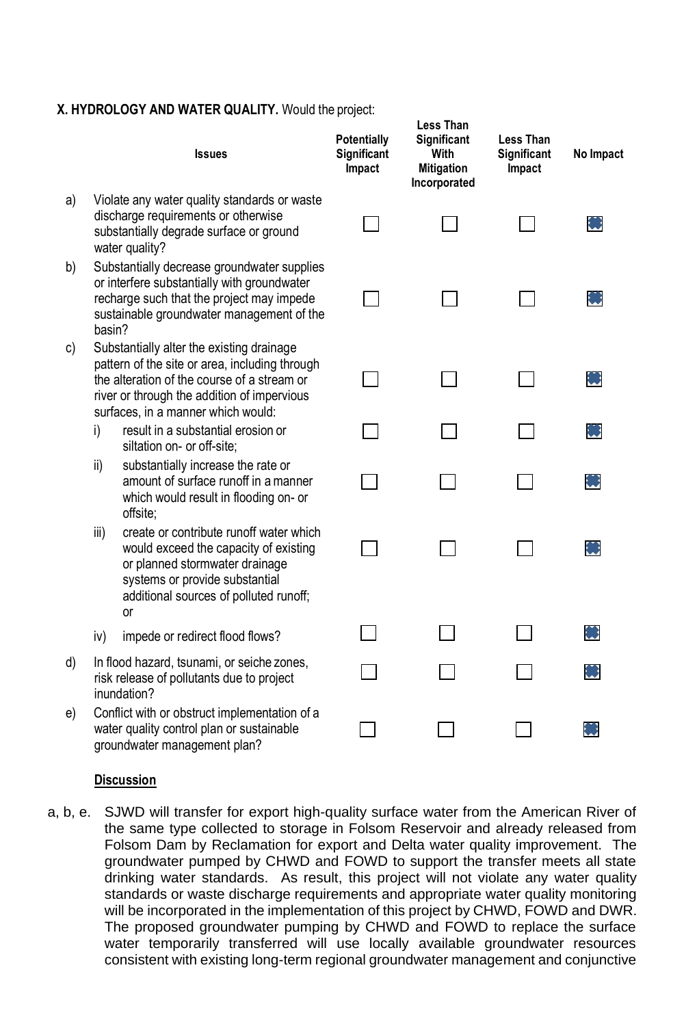## **X. HYDROLOGY AND WATER QUALITY.** Would the project:

|    |        | <b>Issues</b>                                                                                                                                                                                                                   | Potentially<br>Significant<br>Impact | Less Than<br>Significant<br>With<br><b>Mitigation</b><br>Incorporated | Less Than<br>Significant<br>Impact | No Impact |
|----|--------|---------------------------------------------------------------------------------------------------------------------------------------------------------------------------------------------------------------------------------|--------------------------------------|-----------------------------------------------------------------------|------------------------------------|-----------|
| a) |        | Violate any water quality standards or waste<br>discharge requirements or otherwise<br>substantially degrade surface or ground<br>water quality?                                                                                |                                      |                                                                       |                                    | E.        |
| b) | basin? | Substantially decrease groundwater supplies<br>or interfere substantially with groundwater<br>recharge such that the project may impede<br>sustainable groundwater management of the                                            |                                      |                                                                       |                                    | ×         |
| c) |        | Substantially alter the existing drainage<br>pattern of the site or area, including through<br>the alteration of the course of a stream or<br>river or through the addition of impervious<br>surfaces, in a manner which would: |                                      |                                                                       |                                    |           |
|    | i)     | result in a substantial erosion or<br>siltation on- or off-site;                                                                                                                                                                |                                      |                                                                       |                                    |           |
|    | ii)    | substantially increase the rate or<br>amount of surface runoff in a manner<br>which would result in flooding on- or<br>offsite:                                                                                                 |                                      |                                                                       |                                    |           |
|    | iii)   | create or contribute runoff water which<br>would exceed the capacity of existing<br>or planned stormwater drainage<br>systems or provide substantial<br>additional sources of polluted runoff;<br>or                            |                                      |                                                                       |                                    |           |
|    | iv)    | impede or redirect flood flows?                                                                                                                                                                                                 |                                      |                                                                       |                                    | Œ         |
| d) |        | In flood hazard, tsunami, or seiche zones,<br>risk release of pollutants due to project<br>inundation?                                                                                                                          |                                      |                                                                       |                                    |           |
| e) |        | Conflict with or obstruct implementation of a<br>water quality control plan or sustainable<br>groundwater management plan?                                                                                                      |                                      |                                                                       |                                    |           |

#### **Discussion**

a, b, e. SJWD will transfer for export high-quality surface water from the American River of the same type collected to storage in Folsom Reservoir and already released from Folsom Dam by Reclamation for export and Delta water quality improvement. The groundwater pumped by CHWD and FOWD to support the transfer meets all state drinking water standards. As result, this project will not violate any water quality standards or waste discharge requirements and appropriate water quality monitoring will be incorporated in the implementation of this project by CHWD, FOWD and DWR. The proposed groundwater pumping by CHWD and FOWD to replace the surface water temporarily transferred will use locally available groundwater resources consistent with existing long-term regional groundwater management and conjunctive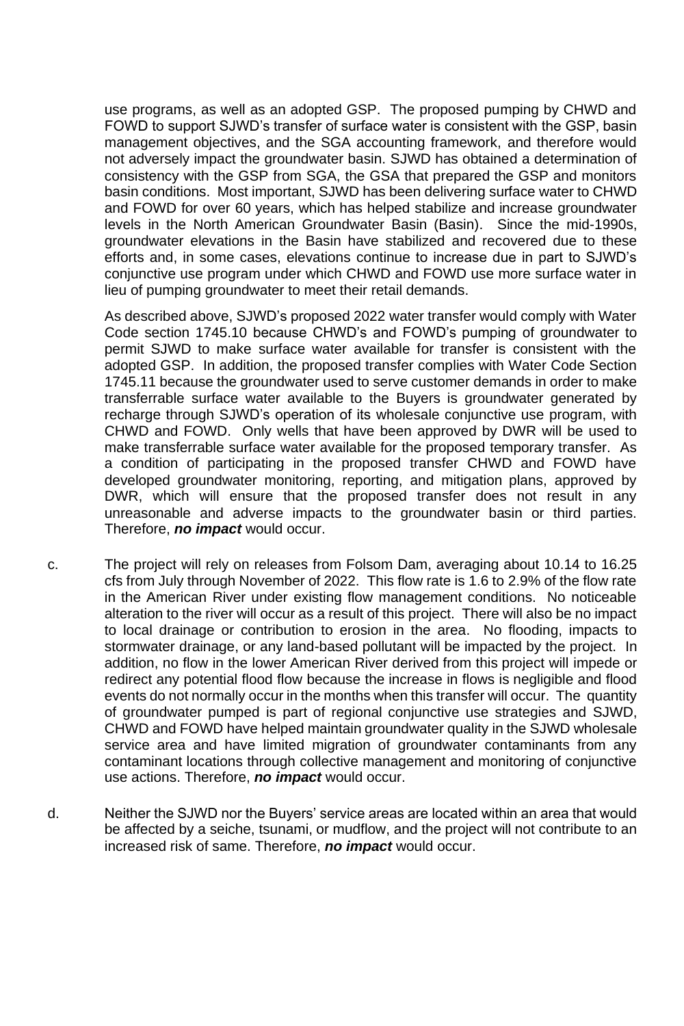use programs, as well as an adopted GSP. The proposed pumping by CHWD and FOWD to support SJWD's transfer of surface water is consistent with the GSP, basin management objectives, and the SGA accounting framework, and therefore would not adversely impact the groundwater basin. SJWD has obtained a determination of consistency with the GSP from SGA, the GSA that prepared the GSP and monitors basin conditions. Most important, SJWD has been delivering surface water to CHWD and FOWD for over 60 years, which has helped stabilize and increase groundwater levels in the North American Groundwater Basin (Basin). Since the mid-1990s, groundwater elevations in the Basin have stabilized and recovered due to these efforts and, in some cases, elevations continue to increase due in part to SJWD's conjunctive use program under which CHWD and FOWD use more surface water in lieu of pumping groundwater to meet their retail demands.

As described above, SJWD's proposed 2022 water transfer would comply with Water Code section 1745.10 because CHWD's and FOWD's pumping of groundwater to permit SJWD to make surface water available for transfer is consistent with the adopted GSP. In addition, the proposed transfer complies with Water Code Section 1745.11 because the groundwater used to serve customer demands in order to make transferrable surface water available to the Buyers is groundwater generated by recharge through SJWD's operation of its wholesale conjunctive use program, with CHWD and FOWD. Only wells that have been approved by DWR will be used to make transferrable surface water available for the proposed temporary transfer. As a condition of participating in the proposed transfer CHWD and FOWD have developed groundwater monitoring, reporting, and mitigation plans, approved by DWR, which will ensure that the proposed transfer does not result in any unreasonable and adverse impacts to the groundwater basin or third parties. Therefore, *no impact* would occur.

- c. The project will rely on releases from Folsom Dam, averaging about 10.14 to 16.25 cfs from July through November of 2022. This flow rate is 1.6 to 2.9% of the flow rate in the American River under existing flow management conditions. No noticeable alteration to the river will occur as a result of this project. There will also be no impact to local drainage or contribution to erosion in the area. No flooding, impacts to stormwater drainage, or any land-based pollutant will be impacted by the project. In addition, no flow in the lower American River derived from this project will impede or redirect any potential flood flow because the increase in flows is negligible and flood events do not normally occur in the months when this transfer will occur. The quantity of groundwater pumped is part of regional conjunctive use strategies and SJWD, CHWD and FOWD have helped maintain groundwater quality in the SJWD wholesale service area and have limited migration of groundwater contaminants from any contaminant locations through collective management and monitoring of conjunctive use actions. Therefore, *no impact* would occur.
- d. Neither the SJWD nor the Buyers' service areas are located within an area that would be affected by a seiche, tsunami, or mudflow, and the project will not contribute to an increased risk of same. Therefore, *no impact* would occur.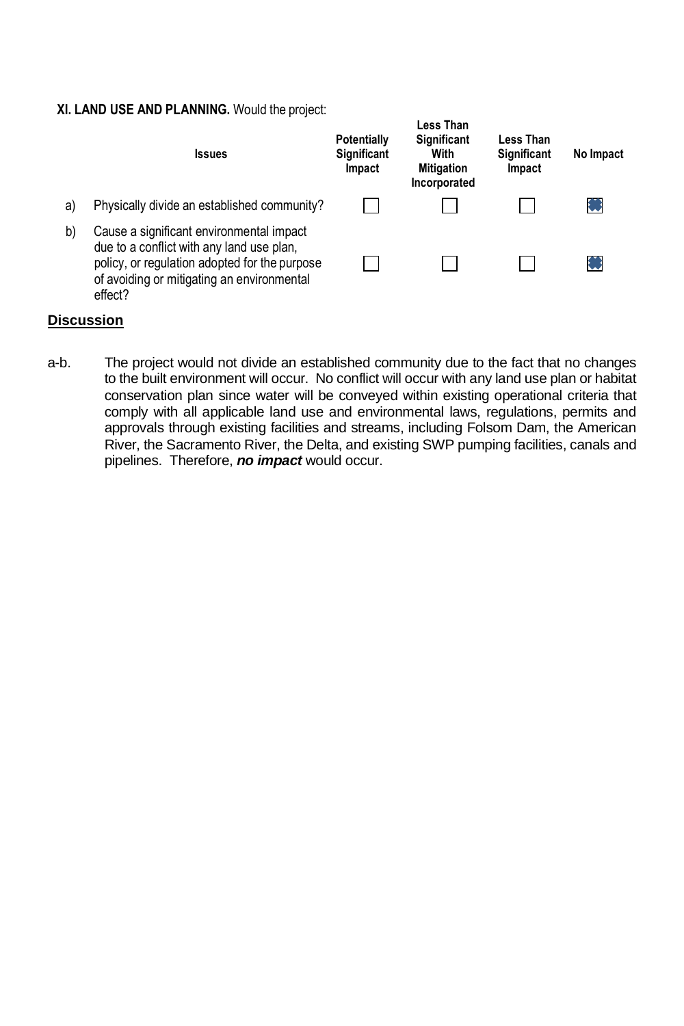## **XI. LAND USE AND PLANNING.** Would the project:

|    | <b>Issues</b>                                                                                                                                                                                   | <b>Potentially</b><br><b>Significant</b><br>Impact | Less Than<br><b>Significant</b><br>With<br><b>Mitigation</b><br>Incorporated | Less Than<br><b>Significant</b><br>Impact | No Impact |
|----|-------------------------------------------------------------------------------------------------------------------------------------------------------------------------------------------------|----------------------------------------------------|------------------------------------------------------------------------------|-------------------------------------------|-----------|
| a) | Physically divide an established community?                                                                                                                                                     |                                                    |                                                                              |                                           |           |
| b) | Cause a significant environmental impact<br>due to a conflict with any land use plan,<br>policy, or regulation adopted for the purpose<br>of avoiding or mitigating an environmental<br>effect? |                                                    |                                                                              |                                           |           |

## **Discussion**

a-b. The project would not divide an established community due to the fact that no changes to the built environment will occur. No conflict will occur with any land use plan or habitat conservation plan since water will be conveyed within existing operational criteria that comply with all applicable land use and environmental laws, regulations, permits and approvals through existing facilities and streams, including Folsom Dam, the American River, the Sacramento River, the Delta, and existing SWP pumping facilities, canals and pipelines. Therefore, *no impact* would occur.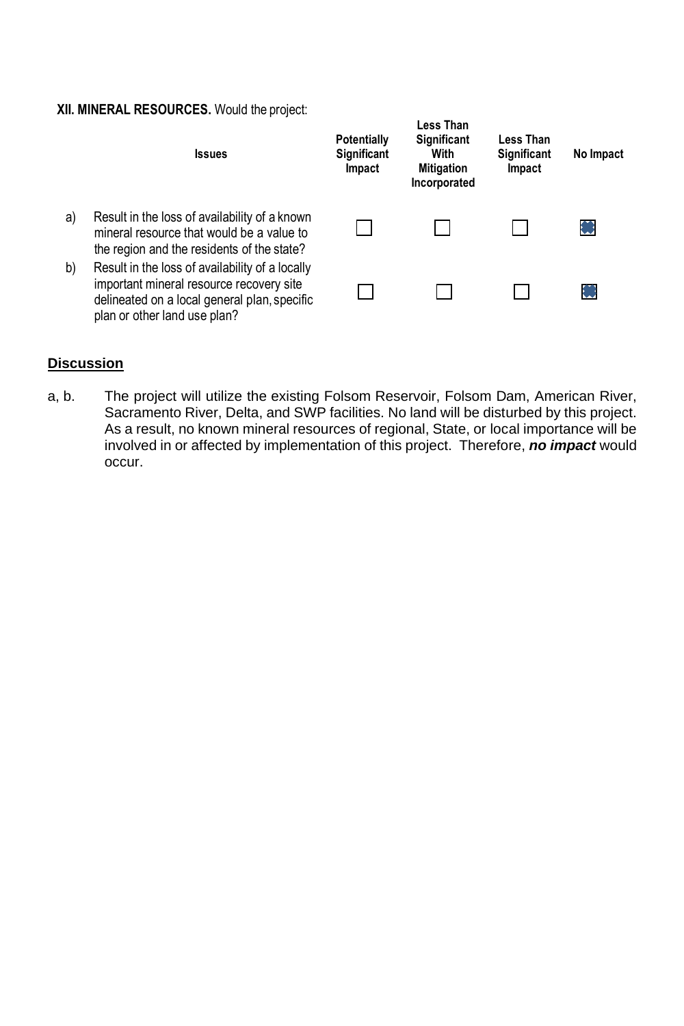#### **XII. MINERAL RESOURCES.** Would the project:

|    | <b>Issues</b>                                                                                                                                                               | <b>Potentially</b><br><b>Significant</b><br>Impact | Less Inan<br><b>Significant</b><br>With<br><b>Mitigation</b><br>Incorporated | Less Than<br><b>Significant</b><br>Impact | No Impact |
|----|-----------------------------------------------------------------------------------------------------------------------------------------------------------------------------|----------------------------------------------------|------------------------------------------------------------------------------|-------------------------------------------|-----------|
| a) | Result in the loss of availability of a known<br>mineral resource that would be a value to<br>the region and the residents of the state?                                    |                                                    |                                                                              |                                           |           |
| b) | Result in the loss of availability of a locally<br>important mineral resource recovery site<br>delineated on a local general plan, specific<br>plan or other land use plan? |                                                    |                                                                              |                                           |           |

**Less Than** 

## **Discussion**

a, b. The project will utilize the existing Folsom Reservoir, Folsom Dam, American River, Sacramento River, Delta, and SWP facilities. No land will be disturbed by this project. As a result, no known mineral resources of regional, State, or local importance will be involved in or affected by implementation of this project. Therefore, *no impact* would occur.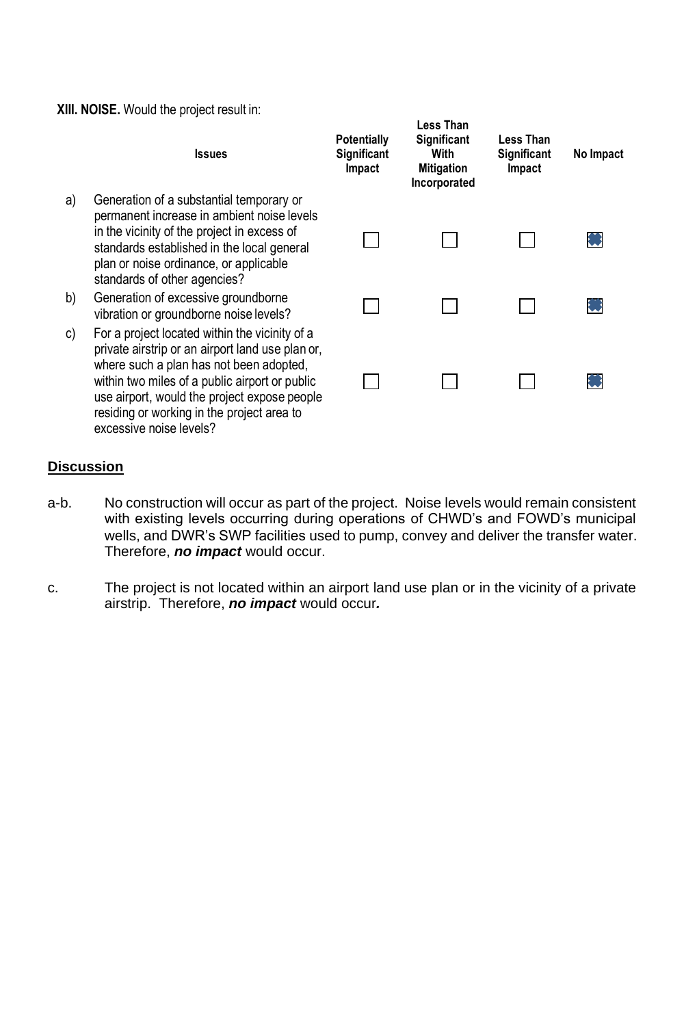**XIII. NOISE.** Would the project result in:

|    | <b>Issues</b>                                                                                                                                                                                                                                                                                                            | <b>Potentially</b><br>Significant<br>Impact | <b>Less Than</b><br><b>Significant</b><br>With<br><b>Mitigation</b><br>Incorporated | Less Than<br><b>Significant</b><br>Impact | No Impact |
|----|--------------------------------------------------------------------------------------------------------------------------------------------------------------------------------------------------------------------------------------------------------------------------------------------------------------------------|---------------------------------------------|-------------------------------------------------------------------------------------|-------------------------------------------|-----------|
| a) | Generation of a substantial temporary or<br>permanent increase in ambient noise levels<br>in the vicinity of the project in excess of<br>standards established in the local general<br>plan or noise ordinance, or applicable<br>standards of other agencies?                                                            |                                             |                                                                                     |                                           |           |
| b) | Generation of excessive groundborne<br>vibration or groundborne noise levels?                                                                                                                                                                                                                                            |                                             |                                                                                     |                                           |           |
| C) | For a project located within the vicinity of a<br>private airstrip or an airport land use plan or,<br>where such a plan has not been adopted.<br>within two miles of a public airport or public<br>use airport, would the project expose people<br>residing or working in the project area to<br>excessive noise levels? |                                             |                                                                                     |                                           | Ł.        |

## **Discussion**

- a-b. No construction will occur as part of the project. Noise levels would remain consistent with existing levels occurring during operations of CHWD's and FOWD's municipal wells, and DWR's SWP facilities used to pump, convey and deliver the transfer water. Therefore, *no impact* would occur.
- c. The project is not located within an airport land use plan or in the vicinity of a private airstrip. Therefore, *no impact* would occur*.*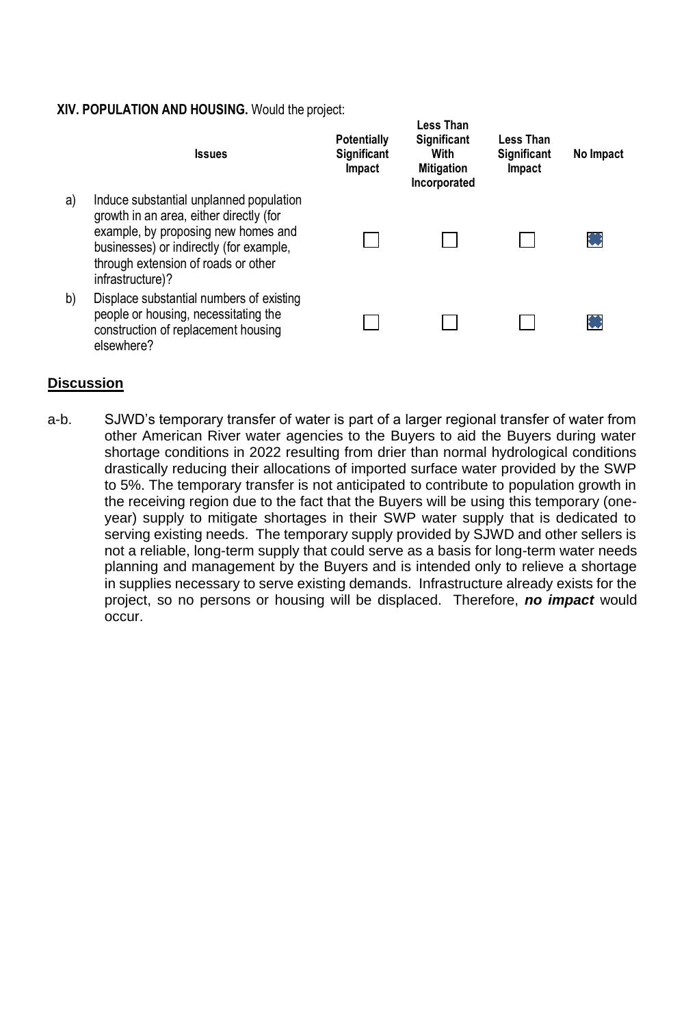## **XIV. POPULATION AND HOUSING.** Would the project:

|    | <b>Issues</b>                                                                                                                                                                                                                   | <b>Potentially</b><br>Significant<br>Impact | Less Than<br><b>Significant</b><br>With<br><b>Mitigation</b><br>Incorporated | Less Than<br><b>Significant</b><br>Impact | No Impact |
|----|---------------------------------------------------------------------------------------------------------------------------------------------------------------------------------------------------------------------------------|---------------------------------------------|------------------------------------------------------------------------------|-------------------------------------------|-----------|
| a) | Induce substantial unplanned population<br>growth in an area, either directly (for<br>example, by proposing new homes and<br>businesses) or indirectly (for example,<br>through extension of roads or other<br>infrastructure)? |                                             |                                                                              |                                           |           |
| b) | Displace substantial numbers of existing<br>people or housing, necessitating the<br>construction of replacement housing<br>elsewhere?                                                                                           |                                             |                                                                              |                                           |           |

## **Discussion**

a-b. SJWD's temporary transfer of water is part of a larger regional transfer of water from other American River water agencies to the Buyers to aid the Buyers during water shortage conditions in 2022 resulting from drier than normal hydrological conditions drastically reducing their allocations of imported surface water provided by the SWP to 5%. The temporary transfer is not anticipated to contribute to population growth in the receiving region due to the fact that the Buyers will be using this temporary (oneyear) supply to mitigate shortages in their SWP water supply that is dedicated to serving existing needs. The temporary supply provided by SJWD and other sellers is not a reliable, long-term supply that could serve as a basis for long-term water needs planning and management by the Buyers and is intended only to relieve a shortage in supplies necessary to serve existing demands. Infrastructure already exists for the project, so no persons or housing will be displaced. Therefore, *no impact* would occur.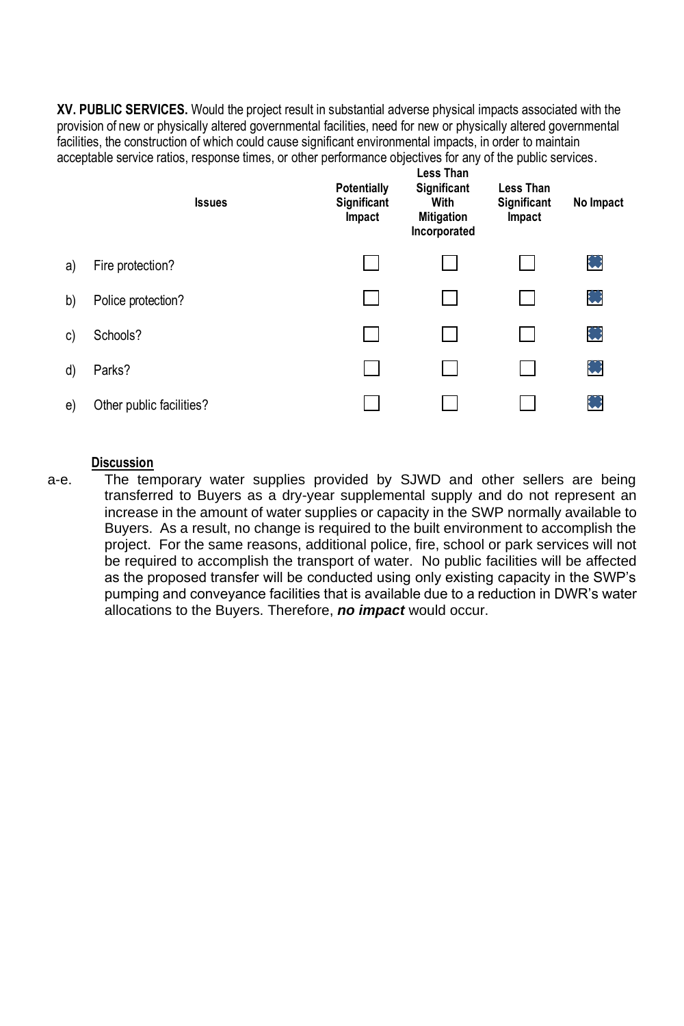**XV. PUBLIC SERVICES.** Would the project result in substantial adverse physical impacts associated with the provision of new or physically altered governmental facilities, need for new or physically altered governmental facilities, the construction of which could cause significant environmental impacts, in order to maintain acceptable service ratios, response times, or other performance objectives for any of the public services. **Less Than** 

|    | <b>Issues</b>            | <b>Potentially</b><br>Significant<br>Impact | реза план<br>Significant<br>With<br><b>Mitigation</b><br>Incorporated | Less Than<br>Significant<br>Impact | No Impact    |
|----|--------------------------|---------------------------------------------|-----------------------------------------------------------------------|------------------------------------|--------------|
| a) | Fire protection?         |                                             |                                                                       |                                    | W            |
| b) | Police protection?       |                                             |                                                                       |                                    | W            |
| C) | Schools?                 |                                             |                                                                       |                                    | $\mathbf{C}$ |
| d) | Parks?                   |                                             |                                                                       |                                    | <b>S</b>     |
| e) | Other public facilities? |                                             |                                                                       |                                    | W            |
|    |                          |                                             |                                                                       |                                    |              |

#### **Discussion**

a-e. The temporary water supplies provided by SJWD and other sellers are being transferred to Buyers as a dry-year supplemental supply and do not represent an increase in the amount of water supplies or capacity in the SWP normally available to Buyers. As a result, no change is required to the built environment to accomplish the project. For the same reasons, additional police, fire, school or park services will not be required to accomplish the transport of water. No public facilities will be affected as the proposed transfer will be conducted using only existing capacity in the SWP's pumping and conveyance facilities that is available due to a reduction in DWR's water allocations to the Buyers. Therefore, *no impact* would occur.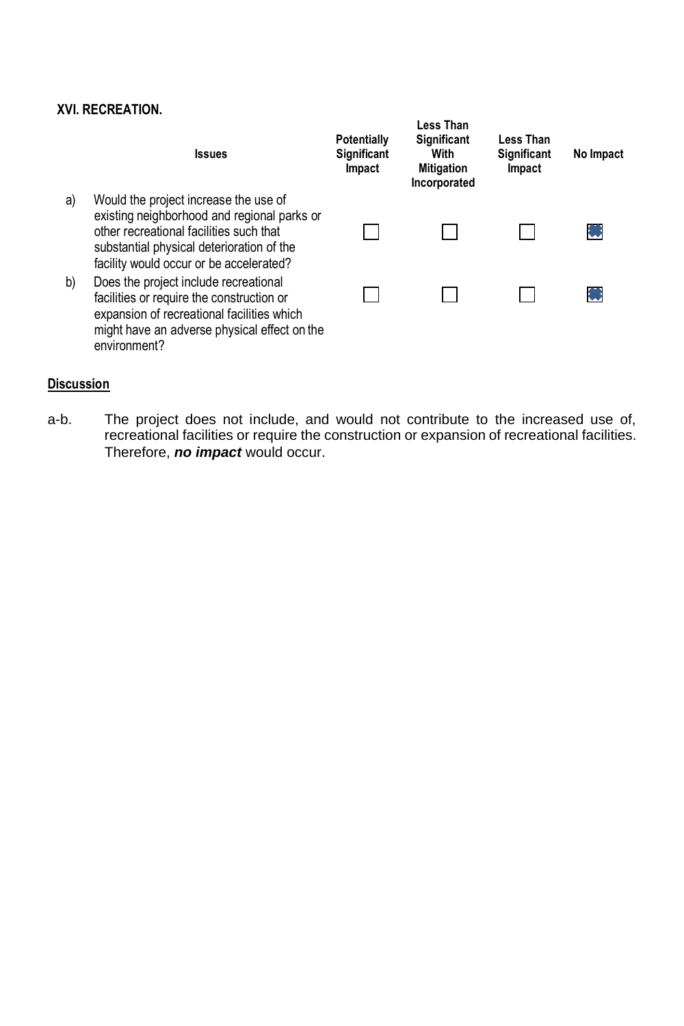# **XVI. RECREATION.**

|    | <b>Issues</b>                                                                                                                                                                                                           | <b>Potentially</b><br>Significant<br>Impact | Less Than<br>Significant<br>With<br><b>Mitigation</b><br>Incorporated | Less Than<br><b>Significant</b><br>Impact | No Impact |
|----|-------------------------------------------------------------------------------------------------------------------------------------------------------------------------------------------------------------------------|---------------------------------------------|-----------------------------------------------------------------------|-------------------------------------------|-----------|
| a) | Would the project increase the use of<br>existing neighborhood and regional parks or<br>other recreational facilities such that<br>substantial physical deterioration of the<br>facility would occur or be accelerated? |                                             |                                                                       |                                           |           |
| b) | Does the project include recreational<br>facilities or require the construction or<br>expansion of recreational facilities which<br>might have an adverse physical effect on the<br>environment?                        |                                             |                                                                       |                                           |           |

## **Discussion**

a-b. The project does not include, and would not contribute to the increased use of, recreational facilities or require the construction or expansion of recreational facilities. Therefore, *no impact* would occur.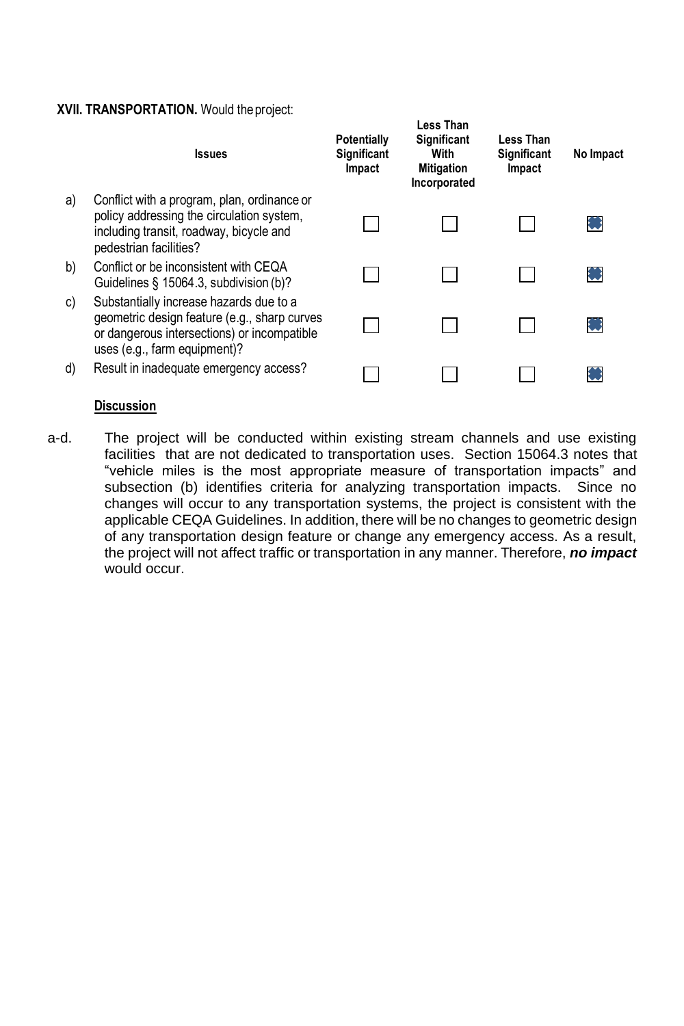#### **XVII. TRANSPORTATION.** Would theproject:

|    | <b>Issues</b>                                                                                                                                                          | <b>Potentially</b><br><b>Significant</b><br>Impact | Less Than<br>Significant<br>With<br><b>Mitigation</b><br>Incorporated | Less Than<br><b>Significant</b><br>Impact | No Impact |
|----|------------------------------------------------------------------------------------------------------------------------------------------------------------------------|----------------------------------------------------|-----------------------------------------------------------------------|-------------------------------------------|-----------|
| a) | Conflict with a program, plan, ordinance or<br>policy addressing the circulation system,<br>including transit, roadway, bicycle and<br>pedestrian facilities?          |                                                    |                                                                       |                                           |           |
| b) | Conflict or be inconsistent with CEQA<br>Guidelines § 15064.3, subdivision (b)?                                                                                        |                                                    |                                                                       |                                           |           |
| C) | Substantially increase hazards due to a<br>geometric design feature (e.g., sharp curves<br>or dangerous intersections) or incompatible<br>uses (e.g., farm equipment)? |                                                    |                                                                       |                                           |           |
| d) | Result in inadequate emergency access?                                                                                                                                 |                                                    |                                                                       |                                           |           |

## **Discussion**

a-d. The project will be conducted within existing stream channels and use existing facilities that are not dedicated to transportation uses. Section 15064.3 notes that "vehicle miles is the most appropriate measure of transportation impacts" and subsection (b) identifies criteria for analyzing transportation impacts. Since no changes will occur to any transportation systems, the project is consistent with the applicable CEQA Guidelines. In addition, there will be no changes to geometric design of any transportation design feature or change any emergency access. As a result, the project will not affect traffic or transportation in any manner. Therefore, *no impact*  would occur.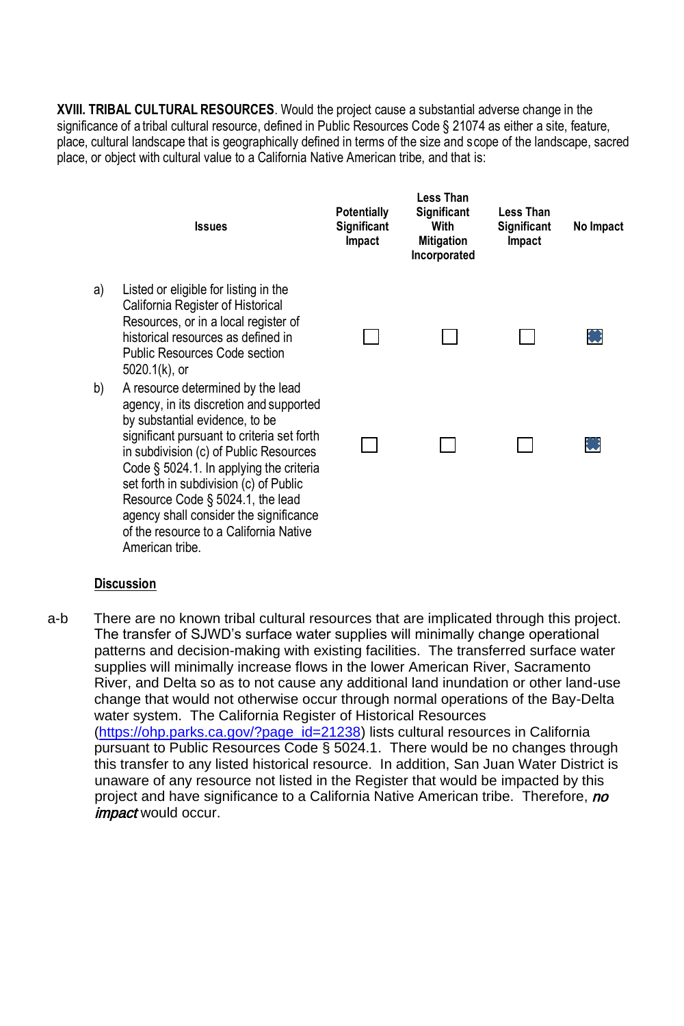**XVIII. TRIBAL CULTURAL RESOURCES**. Would the project cause a substantial adverse change in the significance of a tribal cultural resource, defined in Public Resources Code § 21074 as either a site, feature, place, cultural landscape that is geographically defined in terms of the size and scope of the landscape, sacred place, or object with cultural value to a California Native American tribe, and that is:

|    | <b>Issues</b>                                                                                                                                                                                                                                                                                                                                                                                                       | <b>Potentially</b><br><b>Significant</b><br>Impact | Less Than<br><b>Significant</b><br>With<br><b>Mitigation</b><br>Incorporated | Less Than<br>Significant<br>Impact | No Impact |
|----|---------------------------------------------------------------------------------------------------------------------------------------------------------------------------------------------------------------------------------------------------------------------------------------------------------------------------------------------------------------------------------------------------------------------|----------------------------------------------------|------------------------------------------------------------------------------|------------------------------------|-----------|
| a) | Listed or eligible for listing in the<br>California Register of Historical<br>Resources, or in a local register of<br>historical resources as defined in<br><b>Public Resources Code section</b><br>$5020.1(k)$ , or                                                                                                                                                                                                |                                                    |                                                                              |                                    |           |
| b) | A resource determined by the lead<br>agency, in its discretion and supported<br>by substantial evidence, to be<br>significant pursuant to criteria set forth<br>in subdivision (c) of Public Resources<br>Code § 5024.1. In applying the criteria<br>set forth in subdivision (c) of Public<br>Resource Code § 5024.1, the lead<br>agency shall consider the significance<br>of the resource to a California Native |                                                    |                                                                              |                                    |           |

## **Discussion**

American tribe.

a-b There are no known tribal cultural resources that are implicated through this project. The transfer of SJWD's surface water supplies will minimally change operational patterns and decision-making with existing facilities. The transferred surface water supplies will minimally increase flows in the lower American River, Sacramento River, and Delta so as to not cause any additional land inundation or other land-use change that would not otherwise occur through normal operations of the Bay-Delta water system. The California Register of Historical Resources [\(https://ohp.parks.ca.gov/?page\\_id=21238\)](https://ohp.parks.ca.gov/?page_id=21238) lists cultural resources in California pursuant to Public Resources Code § 5024.1. There would be no changes through this transfer to any listed historical resource. In addition, San Juan Water District is unaware of any resource not listed in the Register that would be impacted by this project and have significance to a California Native American tribe. Therefore, no impact would occur.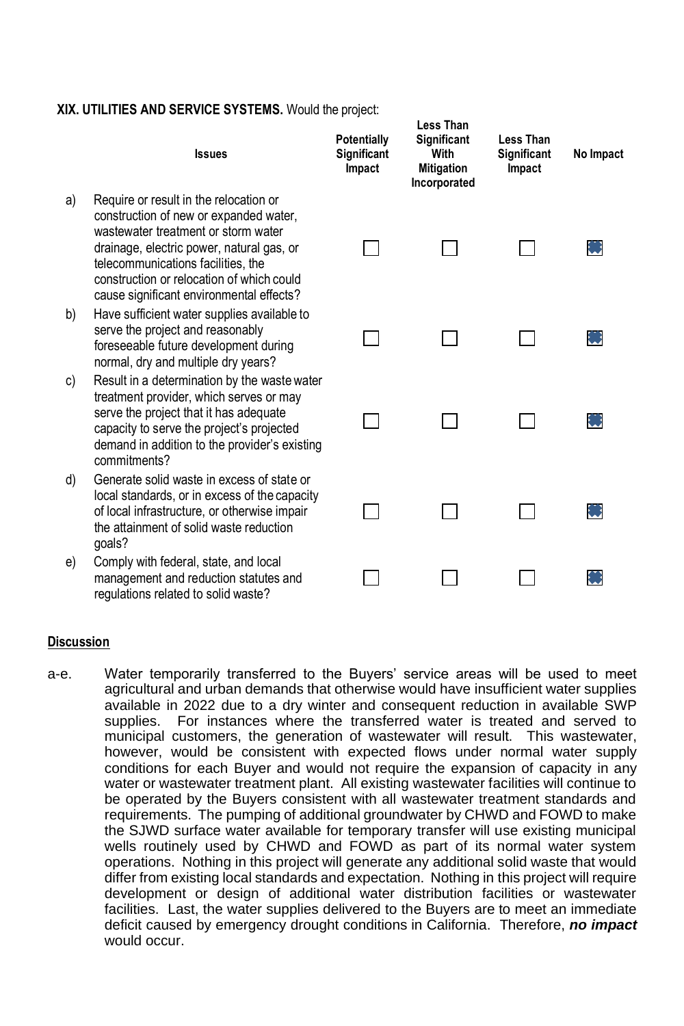#### **Less Than Potentially Significant Less Than Issues Significant With Significant No Impact Impact Mitigation Impact Incorporated** a) Require or result in the relocation or construction of new or expanded water, wastewater treatment or storm water drainage, electric power, natural gas, or telecommunications facilities, the construction or relocation of which could cause significant environmental effects? b) Have sufficient water supplies available to serve the project and reasonably  $\overline{\phantom{a}}$ B foreseeable future development during normal, dry and multiple dry years? c) Result in a determination by the waste water treatment provider, which serves or may serve the project that it has adequate ┐ ┑ ┑ × capacity to serve the project's projected demand in addition to the provider's existing commitments? d) Generate solid waste in excess of state or local standards, or in excess of the capacity of local infrastructure, or otherwise impair B the attainment of solid waste reduction goals? e) Comply with federal, state, and local management and reduction statutes and regulations related to solid waste?

## **XIX. UTILITIES AND SERVICE SYSTEMS.** Would the project:

#### **Discussion**

a-e. Water temporarily transferred to the Buyers' service areas will be used to meet agricultural and urban demands that otherwise would have insufficient water supplies available in 2022 due to a dry winter and consequent reduction in available SWP supplies. For instances where the transferred water is treated and served to municipal customers, the generation of wastewater will result. This wastewater, however, would be consistent with expected flows under normal water supply conditions for each Buyer and would not require the expansion of capacity in any water or wastewater treatment plant. All existing wastewater facilities will continue to be operated by the Buyers consistent with all wastewater treatment standards and requirements. The pumping of additional groundwater by CHWD and FOWD to make the SJWD surface water available for temporary transfer will use existing municipal wells routinely used by CHWD and FOWD as part of its normal water system operations. Nothing in this project will generate any additional solid waste that would differ from existing local standards and expectation. Nothing in this project will require development or design of additional water distribution facilities or wastewater facilities. Last, the water supplies delivered to the Buyers are to meet an immediate deficit caused by emergency drought conditions in California. Therefore, *no impact* would occur.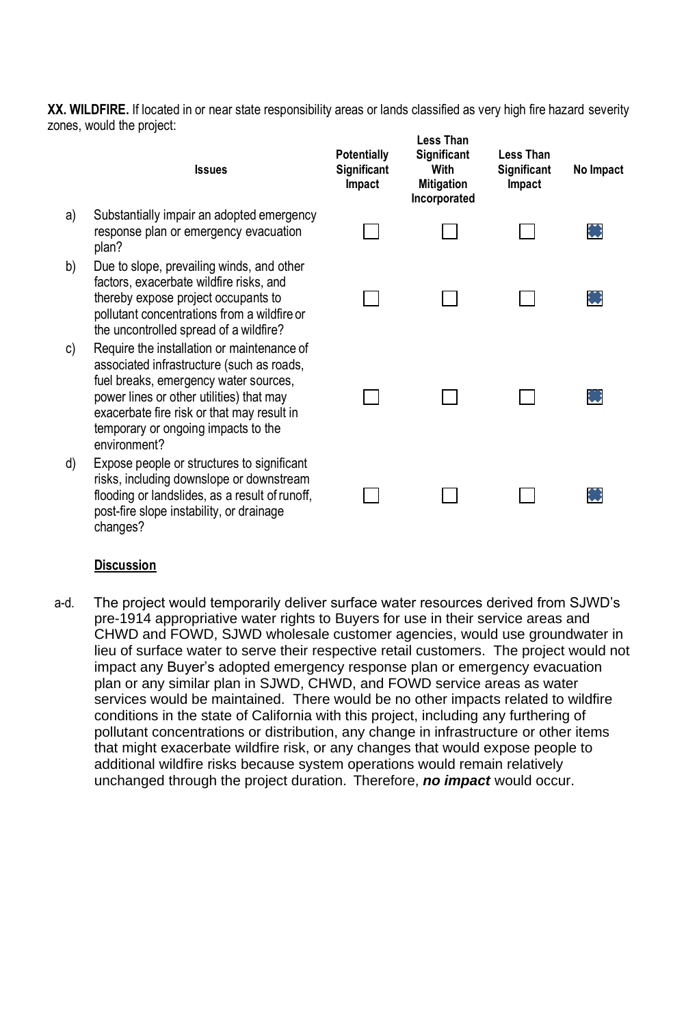**XX. WILDFIRE.** If located in or near state responsibility areas or lands classified as very high fire hazard severity zones, would the project:

|    | <b>Issues</b>                                                                                                                                                                                                                                                                     | <b>Potentially</b><br>Significant<br>Impact | <b>Less Than</b><br><b>Significant</b><br>With<br><b>Mitigation</b><br>Incorporated | Less Than<br>Significant<br>Impact | No Impact |
|----|-----------------------------------------------------------------------------------------------------------------------------------------------------------------------------------------------------------------------------------------------------------------------------------|---------------------------------------------|-------------------------------------------------------------------------------------|------------------------------------|-----------|
| a) | Substantially impair an adopted emergency<br>response plan or emergency evacuation<br>plan?                                                                                                                                                                                       |                                             |                                                                                     |                                    |           |
| b) | Due to slope, prevailing winds, and other<br>factors, exacerbate wildfire risks, and<br>thereby expose project occupants to<br>pollutant concentrations from a wildfire or<br>the uncontrolled spread of a wildfire?                                                              |                                             |                                                                                     |                                    |           |
| C) | Require the installation or maintenance of<br>associated infrastructure (such as roads,<br>fuel breaks, emergency water sources,<br>power lines or other utilities) that may<br>exacerbate fire risk or that may result in<br>temporary or ongoing impacts to the<br>environment? |                                             |                                                                                     |                                    |           |
| d) | Expose people or structures to significant<br>risks, including downslope or downstream<br>flooding or landslides, as a result of runoff,<br>post-fire slope instability, or drainage                                                                                              |                                             |                                                                                     |                                    |           |

#### **Discussion**

changes?

a-d. The project would temporarily deliver surface water resources derived from SJWD's pre-1914 appropriative water rights to Buyers for use in their service areas and CHWD and FOWD, SJWD wholesale customer agencies, would use groundwater in lieu of surface water to serve their respective retail customers. The project would not impact any Buyer's adopted emergency response plan or emergency evacuation plan or any similar plan in SJWD, CHWD, and FOWD service areas as water services would be maintained. There would be no other impacts related to wildfire conditions in the state of California with this project, including any furthering of pollutant concentrations or distribution, any change in infrastructure or other items that might exacerbate wildfire risk, or any changes that would expose people to additional wildfire risks because system operations would remain relatively unchanged through the project duration. Therefore, *no impact* would occur.